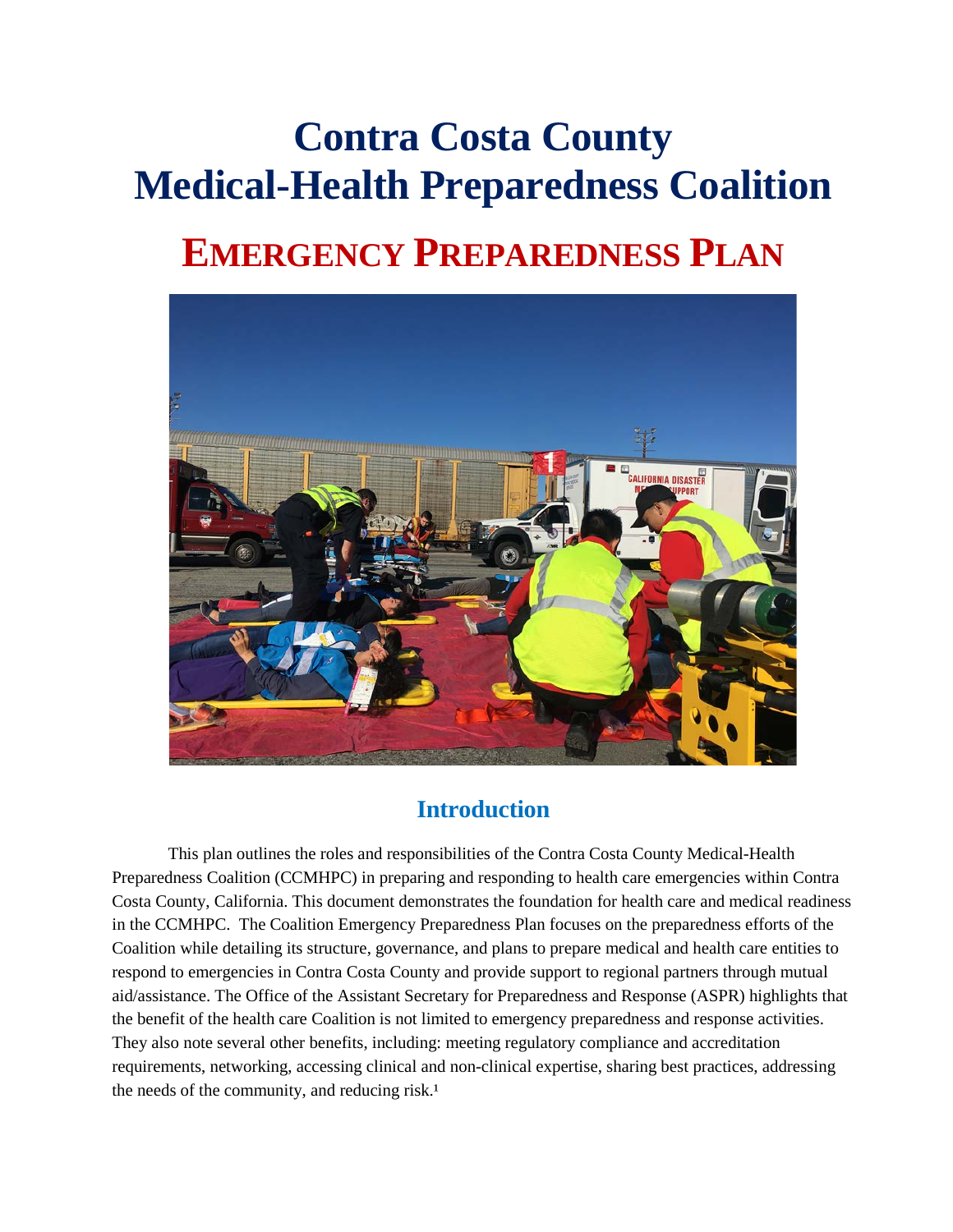# **Contra Costa County Medical-Health Preparedness Coalition**

# **EMERGENCY PREPAREDNESS PLAN**



# **Introduction**

This plan outlines the roles and responsibilities of the Contra Costa County Medical-Health Preparedness Coalition (CCMHPC) in preparing and responding to health care emergencies within Contra Costa County, California. This document demonstrates the foundation for health care and medical readiness in the CCMHPC. The Coalition Emergency Preparedness Plan focuses on the preparedness efforts of the Coalition while detailing its structure, governance, and plans to prepare medical and health care entities to respond to emergencies in Contra Costa County and provide support to regional partners through mutual aid/assistance. The Office of the Assistant Secretary for Preparedness and Response (ASPR) highlights that the benefit of the health care Coalition is not limited to emergency preparedness and response activities. They also note several other benefits, including: meeting regulatory compliance and accreditation requirements, networking, accessing clinical and non-clinical expertise, sharing best practices, addressing the needs of the community, and reducing risk. $<sup>1</sup>$ </sup>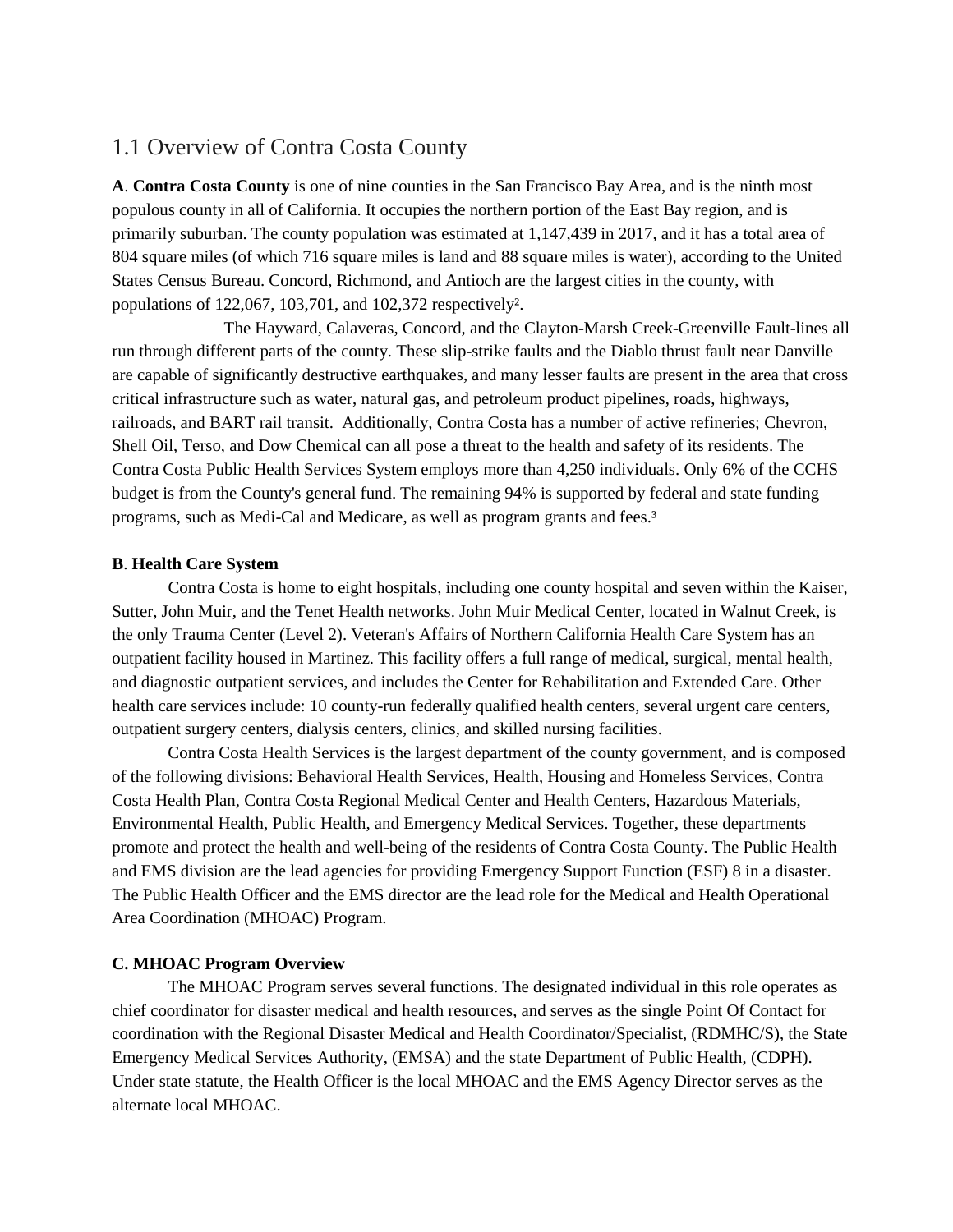### 1.1 Overview of Contra Costa County

**A**. **Contra Costa County** is one of nine counties in the San Francisco Bay Area, and is the ninth most populous county in all of California. It occupies the northern portion of the East Bay region, and is primarily suburban. The county population was estimated at 1,147,439 in 2017, and it has a total area of 804 square miles (of which 716 square miles is land and 88 square miles is water), according to the United States Census Bureau. Concord, Richmond, and Antioch are the largest cities in the county, with populations of 122,067, 103,701, and 102,372 respectively².

The Hayward, Calaveras, Concord, and the Clayton-Marsh Creek-Greenville Fault-lines all run through different parts of the county. These slip-strike faults and the Diablo thrust fault near Danville are capable of significantly destructive earthquakes, and many lesser faults are present in the area that cross critical infrastructure such as water, natural gas, and petroleum product pipelines, roads, highways, railroads, and BART rail transit. Additionally, Contra Costa has a number of active refineries; Chevron, Shell Oil, Terso, and Dow Chemical can all pose a threat to the health and safety of its residents. The Contra Costa Public Health Services System employs more than 4,250 individuals. Only 6% of the CCHS budget is from the County's general fund. The remaining 94% is supported by federal and state funding programs, such as Medi-Cal and Medicare, as well as program grants and fees.<sup>3</sup>

#### **B**. **Health Care System**

Contra Costa is home to eight hospitals, including one county hospital and seven within the Kaiser, Sutter, John Muir, and the Tenet Health networks. John Muir Medical Center, located in Walnut Creek, is the only Trauma Center (Level 2). Veteran's Affairs of Northern California Health Care System has an outpatient facility housed in Martinez. This facility offers a full range of medical, surgical, mental health, and diagnostic outpatient services, and includes the Center for Rehabilitation and Extended Care. Other health care services include: 10 county-run federally qualified health centers, several urgent care centers, outpatient surgery centers, dialysis centers, clinics, and skilled nursing facilities.

Contra Costa Health Services is the largest department of the county government, and is composed of the following divisions: Behavioral Health Services, Health, Housing and Homeless Services, Contra Costa Health Plan, Contra Costa Regional Medical Center and Health Centers, Hazardous Materials, Environmental Health, Public Health, and Emergency Medical Services. Together, these departments promote and protect the health and well-being of the residents of Contra Costa County. The Public Health and EMS division are the lead agencies for providing Emergency Support Function (ESF) 8 in a disaster. The Public Health Officer and the EMS director are the lead role for the Medical and Health Operational Area Coordination (MHOAC) Program.

#### **C. MHOAC Program Overview**

The MHOAC Program serves several functions. The designated individual in this role operates as chief coordinator for disaster medical and health resources, and serves as the single Point Of Contact for coordination with the Regional Disaster Medical and Health Coordinator/Specialist, (RDMHC/S), the State Emergency Medical Services Authority, (EMSA) and the state Department of Public Health, (CDPH). Under state statute, the Health Officer is the local MHOAC and the EMS Agency Director serves as the alternate local MHOAC.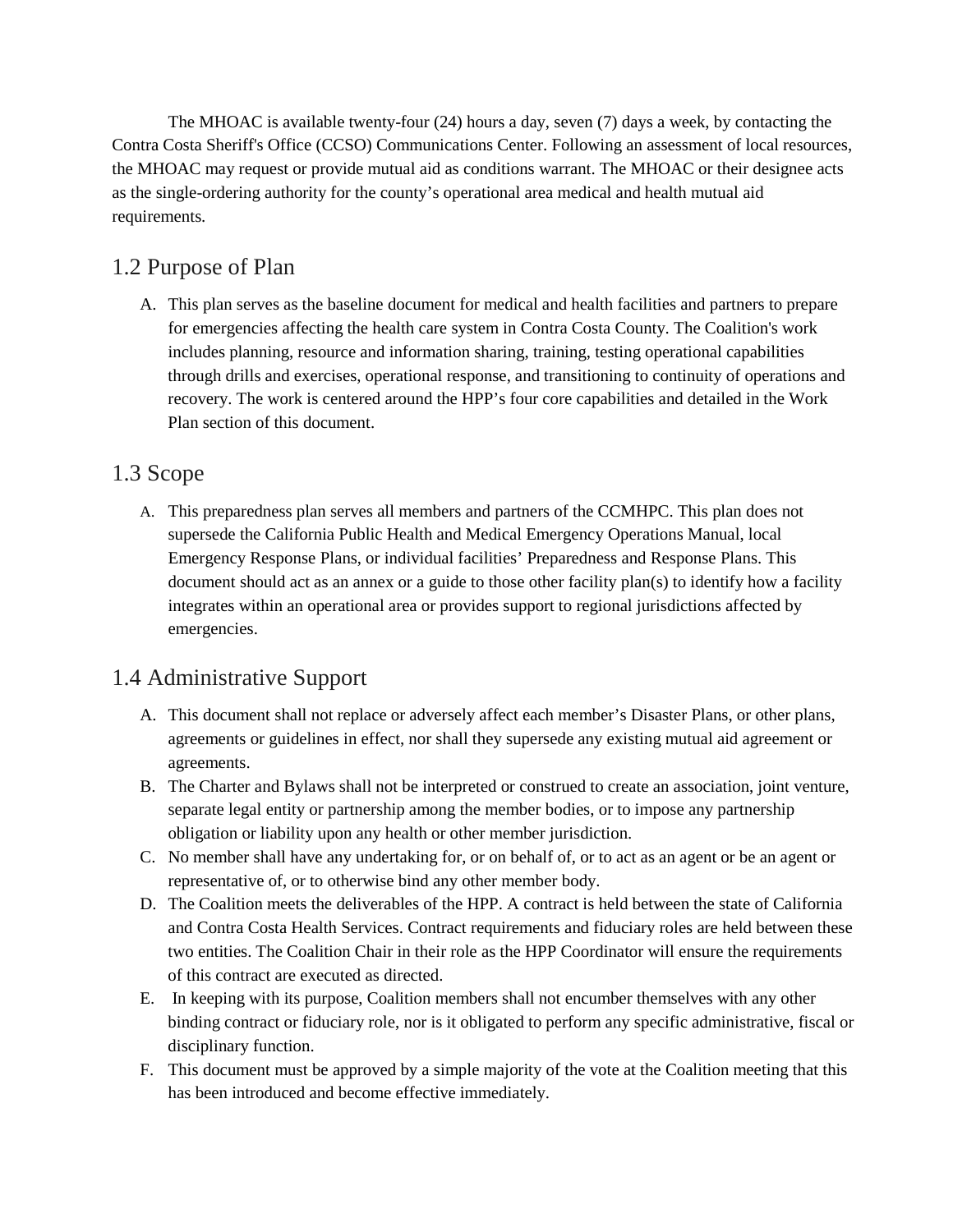The MHOAC is available twenty-four (24) hours a day, seven (7) days a week, by contacting the Contra Costa Sheriff's Office (CCSO) Communications Center. Following an assessment of local resources, the MHOAC may request or provide mutual aid as conditions warrant. The MHOAC or their designee acts as the single-ordering authority for the county's operational area medical and health mutual aid requirements.

# 1.2 Purpose of Plan

A. This plan serves as the baseline document for medical and health facilities and partners to prepare for emergencies affecting the health care system in Contra Costa County. The Coalition's work includes planning, resource and information sharing, training, testing operational capabilities through drills and exercises, operational response, and transitioning to continuity of operations and recovery. The work is centered around the HPP's four core capabilities and detailed in the Work Plan section of this document.

# 1.3 Scope

A. This preparedness plan serves all members and partners of the CCMHPC. This plan does not supersede the California Public Health and Medical Emergency Operations Manual, local Emergency Response Plans, or individual facilities' Preparedness and Response Plans. This document should act as an annex or a guide to those other facility plan(s) to identify how a facility integrates within an operational area or provides support to regional jurisdictions affected by emergencies.

# 1.4 Administrative Support

- A. This document shall not replace or adversely affect each member's Disaster Plans, or other plans, agreements or guidelines in effect, nor shall they supersede any existing mutual aid agreement or agreements.
- B. The Charter and Bylaws shall not be interpreted or construed to create an association, joint venture, separate legal entity or partnership among the member bodies, or to impose any partnership obligation or liability upon any health or other member jurisdiction.
- C. No member shall have any undertaking for, or on behalf of, or to act as an agent or be an agent or representative of, or to otherwise bind any other member body.
- D. The Coalition meets the deliverables of the HPP. A contract is held between the state of California and Contra Costa Health Services. Contract requirements and fiduciary roles are held between these two entities. The Coalition Chair in their role as the HPP Coordinator will ensure the requirements of this contract are executed as directed.
- E. In keeping with its purpose, Coalition members shall not encumber themselves with any other binding contract or fiduciary role, nor is it obligated to perform any specific administrative, fiscal or disciplinary function.
- F. This document must be approved by a simple majority of the vote at the Coalition meeting that this has been introduced and become effective immediately.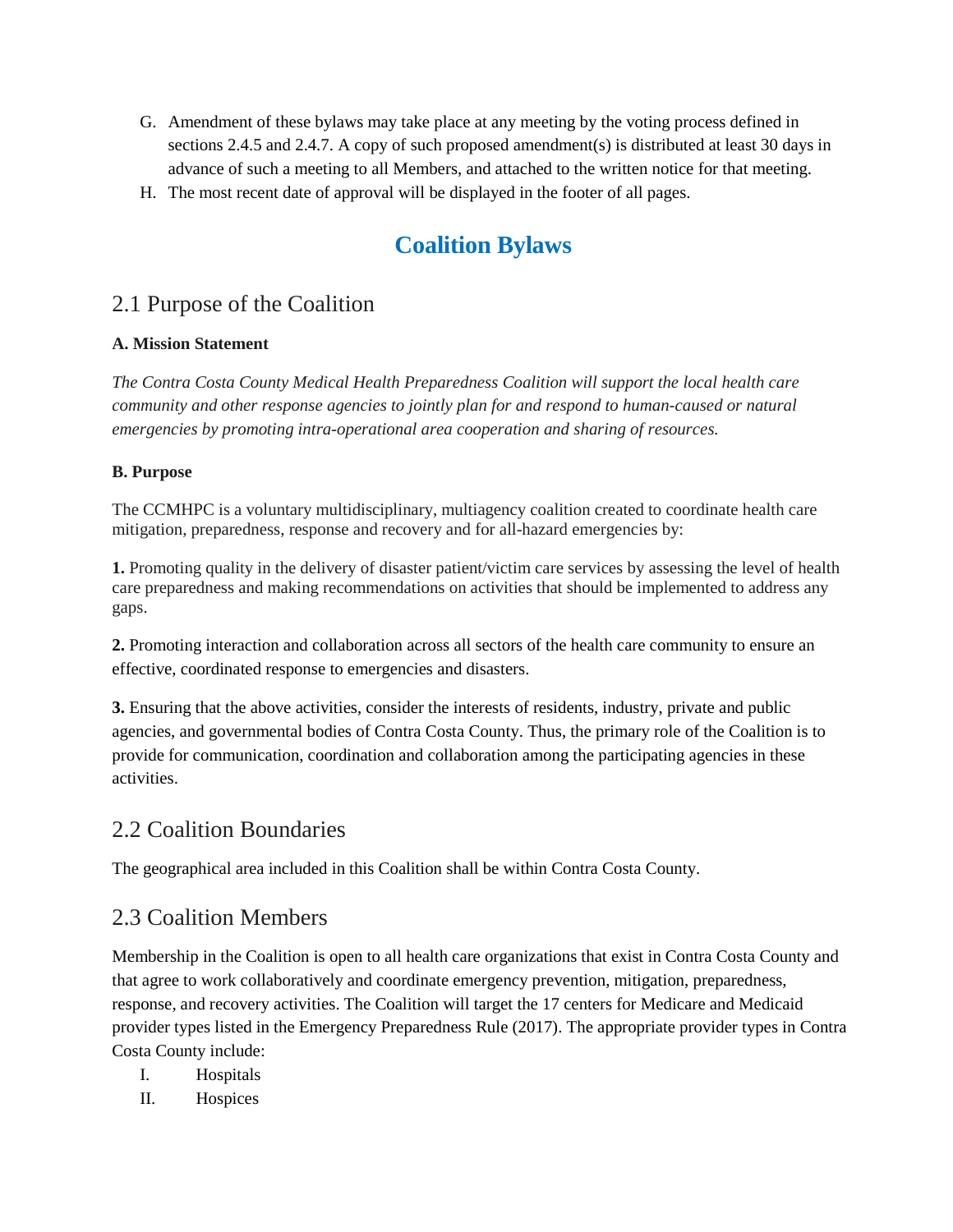- G. Amendment of these bylaws may take place at any meeting by the voting process defined in sections 2.4.5 and 2.4.7. A copy of such proposed amendment(s) is distributed at least 30 days in advance of such a meeting to all Members, and attached to the written notice for that meeting.
- H. The most recent date of approval will be displayed in the footer of all pages.

# **Coalition Bylaws**

### 2.1 Purpose of the Coalition

#### **A. Mission Statement**

*The Contra Costa County Medical Health Preparedness Coalition will support the local health care community and other response agencies to jointly plan for and respond to human-caused or natural emergencies by promoting intra-operational area cooperation and sharing of resources.*

#### **B. Purpose**

The CCMHPC is a voluntary multidisciplinary, multiagency coalition created to coordinate health care mitigation, preparedness, response and recovery and for all-hazard emergencies by:

**1.** Promoting quality in the delivery of disaster patient/victim care services by assessing the level of health care preparedness and making recommendations on activities that should be implemented to address any gaps.

**2.** Promoting interaction and collaboration across all sectors of the health care community to ensure an effective, coordinated response to emergencies and disasters.

**3.** Ensuring that the above activities, consider the interests of residents, industry, private and public agencies, and governmental bodies of Contra Costa County. Thus, the primary role of the Coalition is to provide for communication, coordination and collaboration among the participating agencies in these activities.

# 2.2 Coalition Boundaries

The geographical area included in this Coalition shall be within Contra Costa County.

# 2.3 Coalition Members

Membership in the Coalition is open to all health care organizations that exist in Contra Costa County and that agree to work collaboratively and coordinate emergency prevention, mitigation, preparedness, response, and recovery activities. The Coalition will target the 17 centers for Medicare and Medicaid provider types listed in the Emergency Preparedness Rule (2017). The appropriate provider types in Contra Costa County include:

- I. Hospitals
- II. Hospices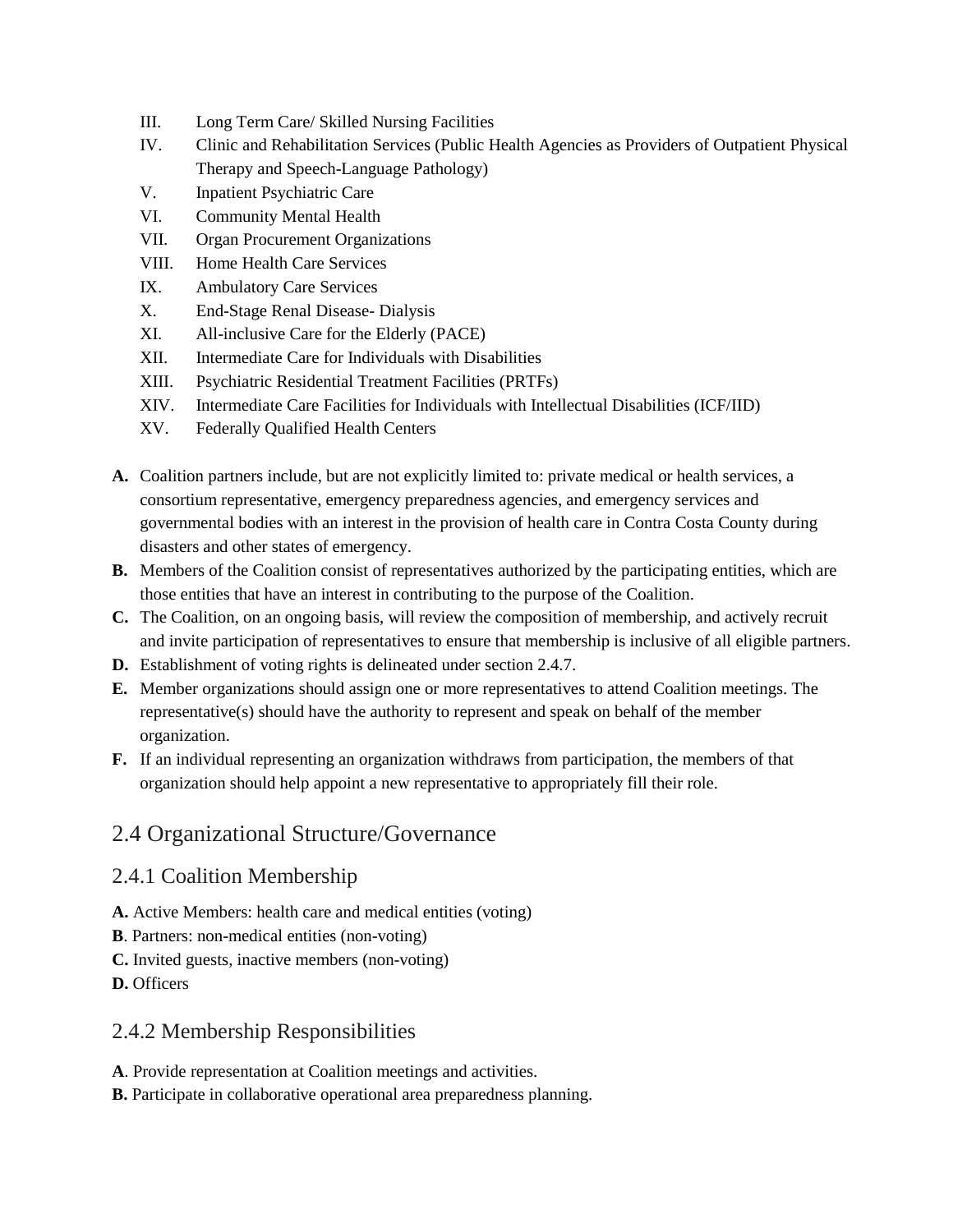- III. Long Term Care/ Skilled Nursing Facilities
- IV. Clinic and Rehabilitation Services (Public Health Agencies as Providers of Outpatient Physical Therapy and Speech-Language Pathology)
- V. Inpatient Psychiatric Care
- VI. Community Mental Health
- VII. Organ Procurement Organizations
- VIII. Home Health Care Services
- IX. Ambulatory Care Services
- X. End-Stage Renal Disease- Dialysis
- XI. All-inclusive Care for the Elderly (PACE)
- XII. Intermediate Care for Individuals with Disabilities
- XIII. Psychiatric Residential Treatment Facilities (PRTFs)
- XIV. Intermediate Care Facilities for Individuals with Intellectual Disabilities (ICF/IID)
- XV. Federally Qualified Health Centers
- **A.** Coalition partners include, but are not explicitly limited to: private medical or health services, a consortium representative, emergency preparedness agencies, and emergency services and governmental bodies with an interest in the provision of health care in Contra Costa County during disasters and other states of emergency.
- **B.** Members of the Coalition consist of representatives authorized by the participating entities, which are those entities that have an interest in contributing to the purpose of the Coalition.
- **C.** The Coalition, on an ongoing basis, will review the composition of membership, and actively recruit and invite participation of representatives to ensure that membership is inclusive of all eligible partners.
- **D.** Establishment of voting rights is delineated under section 2.4.7.
- **E.** Member organizations should assign one or more representatives to attend Coalition meetings. The representative(s) should have the authority to represent and speak on behalf of the member organization.
- **F.** If an individual representing an organization withdraws from participation, the members of that organization should help appoint a new representative to appropriately fill their role.

### 2.4 Organizational Structure/Governance

#### 2.4.1 Coalition Membership

- **A.** Active Members: health care and medical entities (voting)
- **B**. Partners: non-medical entities (non-voting)
- **C.** Invited guests, inactive members (non-voting)

**D.** Officers

#### 2.4.2 Membership Responsibilities

- **A**. Provide representation at Coalition meetings and activities.
- **B.** Participate in collaborative operational area preparedness planning.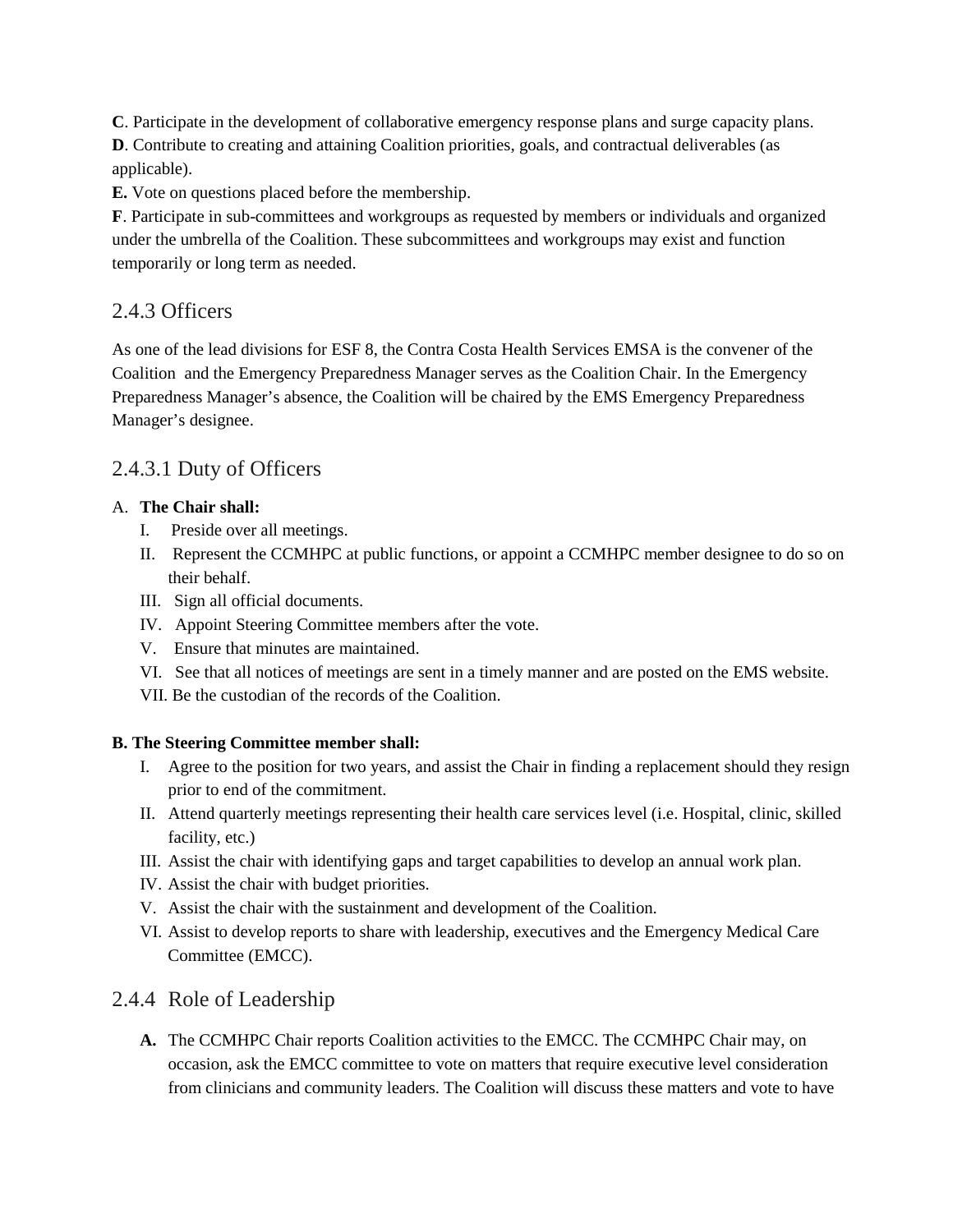**C**. Participate in the development of collaborative emergency response plans and surge capacity plans.

**D**. Contribute to creating and attaining Coalition priorities, goals, and contractual deliverables (as applicable).

**E.** Vote on questions placed before the membership.

**F**. Participate in sub-committees and workgroups as requested by members or individuals and organized under the umbrella of the Coalition. These subcommittees and workgroups may exist and function temporarily or long term as needed.

### 2.4.3 Officers

As one of the lead divisions for ESF 8, the Contra Costa Health Services EMSA is the convener of the Coalition and the Emergency Preparedness Manager serves as the Coalition Chair. In the Emergency Preparedness Manager's absence, the Coalition will be chaired by the EMS Emergency Preparedness Manager's designee.

# 2.4.3.1 Duty of Officers

#### A. **The Chair shall:**

- I. Preside over all meetings.
- II. Represent the CCMHPC at public functions, or appoint a CCMHPC member designee to do so on their behalf.
- III. Sign all official documents.
- IV. Appoint Steering Committee members after the vote.
- V. Ensure that minutes are maintained.
- VI. See that all notices of meetings are sent in a timely manner and are posted on the EMS website.
- VII. Be the custodian of the records of the Coalition.

#### **B. The Steering Committee member shall:**

- I. Agree to the position for two years, and assist the Chair in finding a replacement should they resign prior to end of the commitment.
- II. Attend quarterly meetings representing their health care services level (i.e. Hospital, clinic, skilled facility, etc.)
- III. Assist the chair with identifying gaps and target capabilities to develop an annual work plan.
- IV. Assist the chair with budget priorities.
- V. Assist the chair with the sustainment and development of the Coalition.
- VI. Assist to develop reports to share with leadership, executives and the Emergency Medical Care Committee (EMCC).

#### 2.4.4 Role of Leadership

**A.** The CCMHPC Chair reports Coalition activities to the EMCC. The CCMHPC Chair may, on occasion, ask the EMCC committee to vote on matters that require executive level consideration from clinicians and community leaders. The Coalition will discuss these matters and vote to have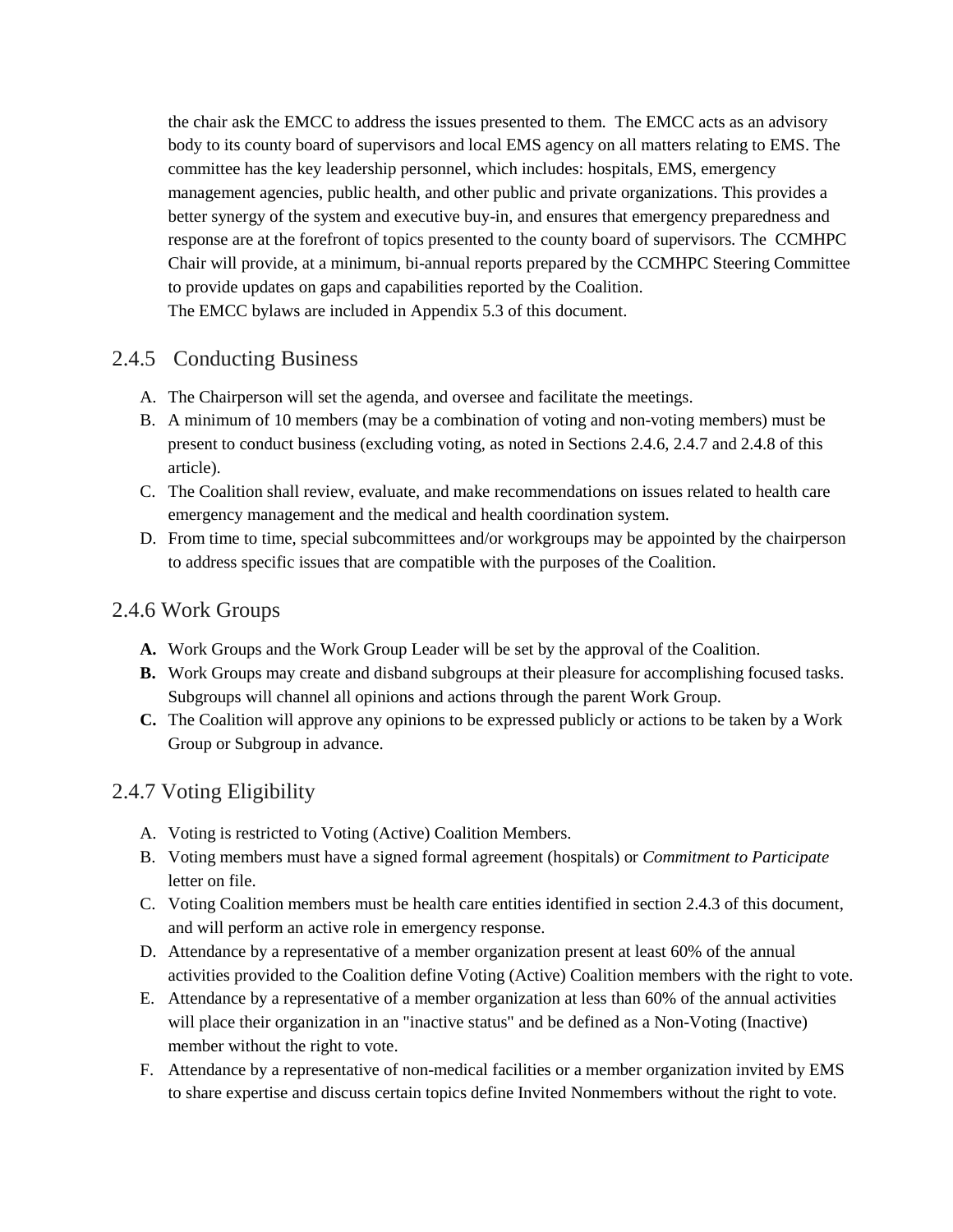the chair ask the EMCC to address the issues presented to them. The EMCC acts as an advisory body to its county board of supervisors and local EMS agency on all matters relating to EMS. The committee has the key leadership personnel, which includes: hospitals, EMS, emergency management agencies, public health, and other public and private organizations. This provides a better synergy of the system and executive buy-in, and ensures that emergency preparedness and response are at the forefront of topics presented to the county board of supervisors. The CCMHPC Chair will provide, at a minimum, bi-annual reports prepared by the CCMHPC Steering Committee to provide updates on gaps and capabilities reported by the Coalition. The EMCC bylaws are included in Appendix 5.3 of this document.

#### 2.4.5 Conducting Business

- A. The Chairperson will set the agenda, and oversee and facilitate the meetings.
- B. A minimum of 10 members (may be a combination of voting and non-voting members) must be present to conduct business (excluding voting, as noted in Sections 2.4.6, 2.4.7 and 2.4.8 of this article).
- C. The Coalition shall review, evaluate, and make recommendations on issues related to health care emergency management and the medical and health coordination system.
- D. From time to time, special subcommittees and/or workgroups may be appointed by the chairperson to address specific issues that are compatible with the purposes of the Coalition.

### 2.4.6 Work Groups

- **A.** Work Groups and the Work Group Leader will be set by the approval of the Coalition.
- **B.** Work Groups may create and disband subgroups at their pleasure for accomplishing focused tasks. Subgroups will channel all opinions and actions through the parent Work Group.
- **C.** The Coalition will approve any opinions to be expressed publicly or actions to be taken by a Work Group or Subgroup in advance.

### 2.4.7 Voting Eligibility

- A. Voting is restricted to Voting (Active) Coalition Members.
- B. Voting members must have a signed formal agreement (hospitals) or *Commitment to Participate* letter on file.
- C. Voting Coalition members must be health care entities identified in section 2.4.3 of this document, and will perform an active role in emergency response.
- D. Attendance by a representative of a member organization present at least 60% of the annual activities provided to the Coalition define Voting (Active) Coalition members with the right to vote.
- E. Attendance by a representative of a member organization at less than 60% of the annual activities will place their organization in an "inactive status" and be defined as a Non-Voting (Inactive) member without the right to vote.
- F. Attendance by a representative of non-medical facilities or a member organization invited by EMS to share expertise and discuss certain topics define Invited Nonmembers without the right to vote.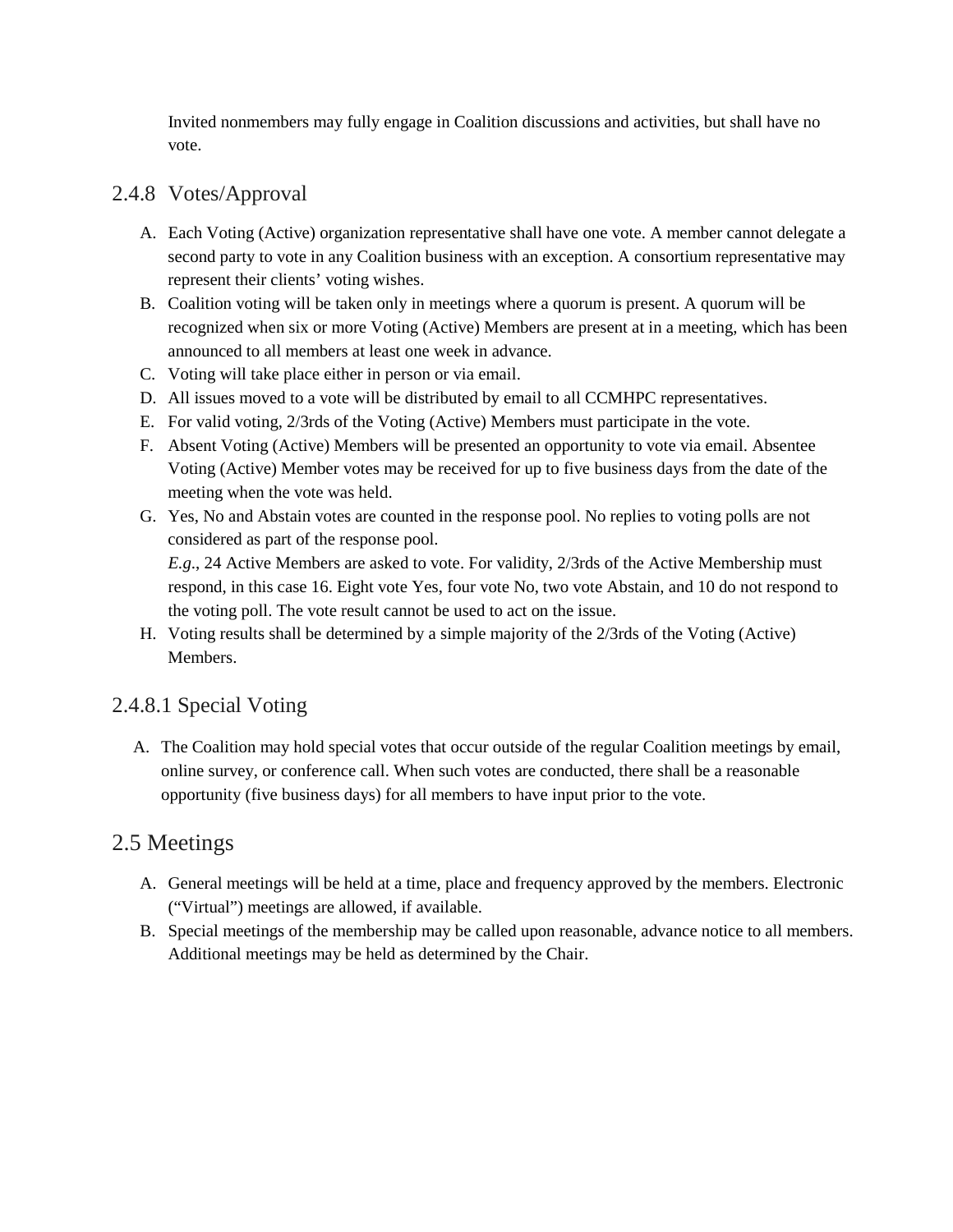Invited nonmembers may fully engage in Coalition discussions and activities, but shall have no vote.

### 2.4.8 Votes/Approval

- A. Each Voting (Active) organization representative shall have one vote. A member cannot delegate a second party to vote in any Coalition business with an exception. A consortium representative may represent their clients' voting wishes.
- B. Coalition voting will be taken only in meetings where a quorum is present. A quorum will be recognized when six or more Voting (Active) Members are present at in a meeting, which has been announced to all members at least one week in advance.
- C. Voting will take place either in person or via email.
- D. All issues moved to a vote will be distributed by email to all CCMHPC representatives.
- E. For valid voting, 2/3rds of the Voting (Active) Members must participate in the vote.
- F. Absent Voting (Active) Members will be presented an opportunity to vote via email. Absentee Voting (Active) Member votes may be received for up to five business days from the date of the meeting when the vote was held.
- G. Yes, No and Abstain votes are counted in the response pool. No replies to voting polls are not considered as part of the response pool.

*E.g*., 24 Active Members are asked to vote. For validity, 2/3rds of the Active Membership must respond, in this case 16. Eight vote Yes, four vote No, two vote Abstain, and 10 do not respond to the voting poll. The vote result cannot be used to act on the issue.

H. Voting results shall be determined by a simple majority of the 2/3rds of the Voting (Active) Members.

### 2.4.8.1 Special Voting

A. The Coalition may hold special votes that occur outside of the regular Coalition meetings by email, online survey, or conference call. When such votes are conducted, there shall be a reasonable opportunity (five business days) for all members to have input prior to the vote.

# 2.5 Meetings

- A. General meetings will be held at a time, place and frequency approved by the members. Electronic ("Virtual") meetings are allowed, if available.
- B. Special meetings of the membership may be called upon reasonable, advance notice to all members. Additional meetings may be held as determined by the Chair.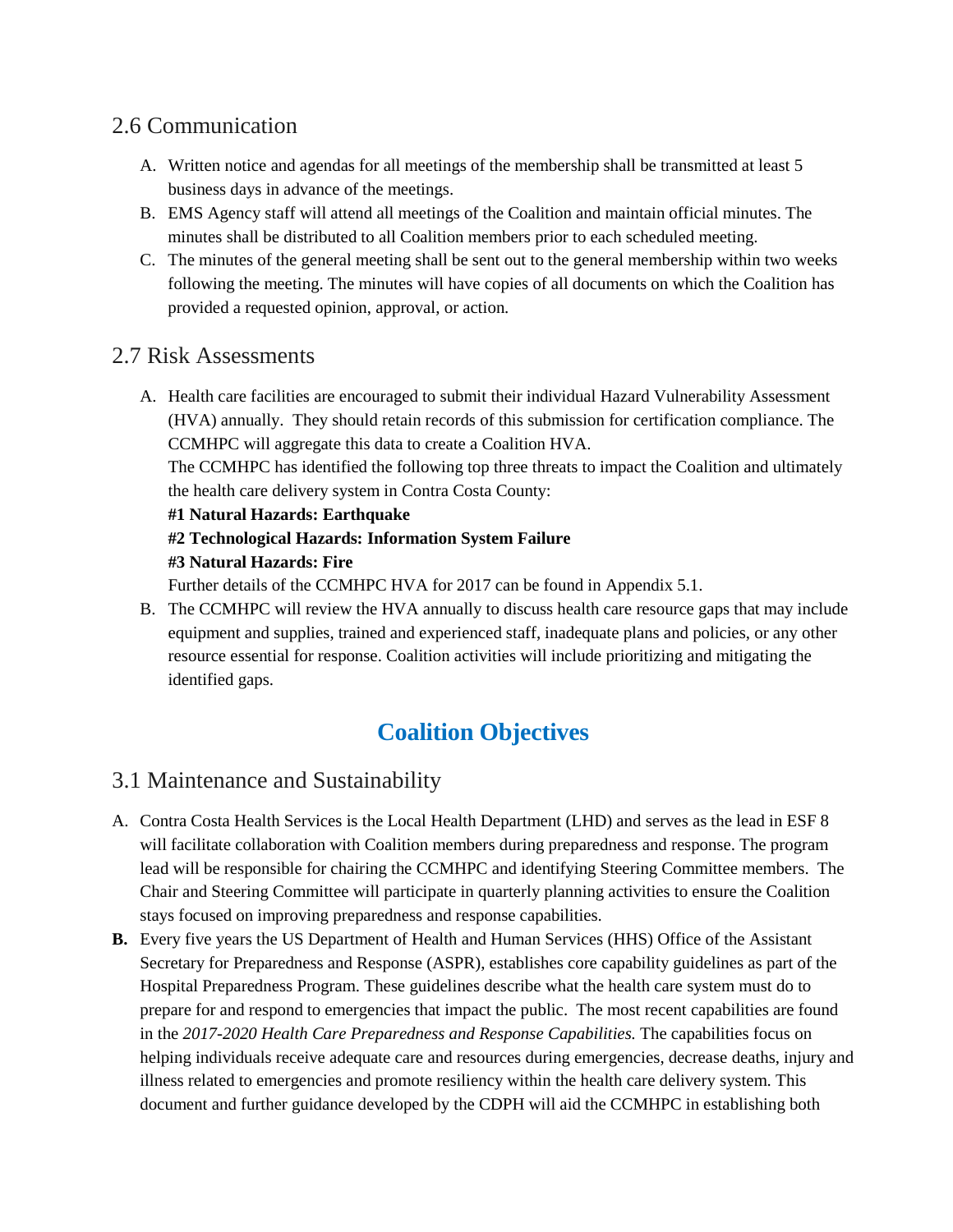# 2.6 Communication

- A. Written notice and agendas for all meetings of the membership shall be transmitted at least 5 business days in advance of the meetings.
- B. EMS Agency staff will attend all meetings of the Coalition and maintain official minutes. The minutes shall be distributed to all Coalition members prior to each scheduled meeting.
- C. The minutes of the general meeting shall be sent out to the general membership within two weeks following the meeting. The minutes will have copies of all documents on which the Coalition has provided a requested opinion, approval, or action.

### 2.7 Risk Assessments

A. Health care facilities are encouraged to submit their individual Hazard Vulnerability Assessment (HVA) annually. They should retain records of this submission for certification compliance. The CCMHPC will aggregate this data to create a Coalition HVA.

The CCMHPC has identified the following top three threats to impact the Coalition and ultimately the health care delivery system in Contra Costa County:

#### **#1 Natural Hazards: Earthquake**

### **#2 Technological Hazards: Information System Failure**

#### **#3 Natural Hazards: Fire**

Further details of the CCMHPC HVA for 2017 can be found in Appendix 5.1.

B. The CCMHPC will review the HVA annually to discuss health care resource gaps that may include equipment and supplies, trained and experienced staff, inadequate plans and policies, or any other resource essential for response. Coalition activities will include prioritizing and mitigating the identified gaps.

# **Coalition Objectives**

# 3.1 Maintenance and Sustainability

- A. Contra Costa Health Services is the Local Health Department (LHD) and serves as the lead in ESF 8 will facilitate collaboration with Coalition members during preparedness and response. The program lead will be responsible for chairing the CCMHPC and identifying Steering Committee members. The Chair and Steering Committee will participate in quarterly planning activities to ensure the Coalition stays focused on improving preparedness and response capabilities.
- **B.** Every five years the US Department of Health and Human Services (HHS) Office of the Assistant Secretary for Preparedness and Response (ASPR), establishes core capability guidelines as part of the Hospital Preparedness Program. These guidelines describe what the health care system must do to prepare for and respond to emergencies that impact the public. The most recent capabilities are found in the *2017-2020 Health Care Preparedness and Response Capabilities.* The capabilities focus on helping individuals receive adequate care and resources during emergencies, decrease deaths, injury and illness related to emergencies and promote resiliency within the health care delivery system. This document and further guidance developed by the CDPH will aid the CCMHPC in establishing both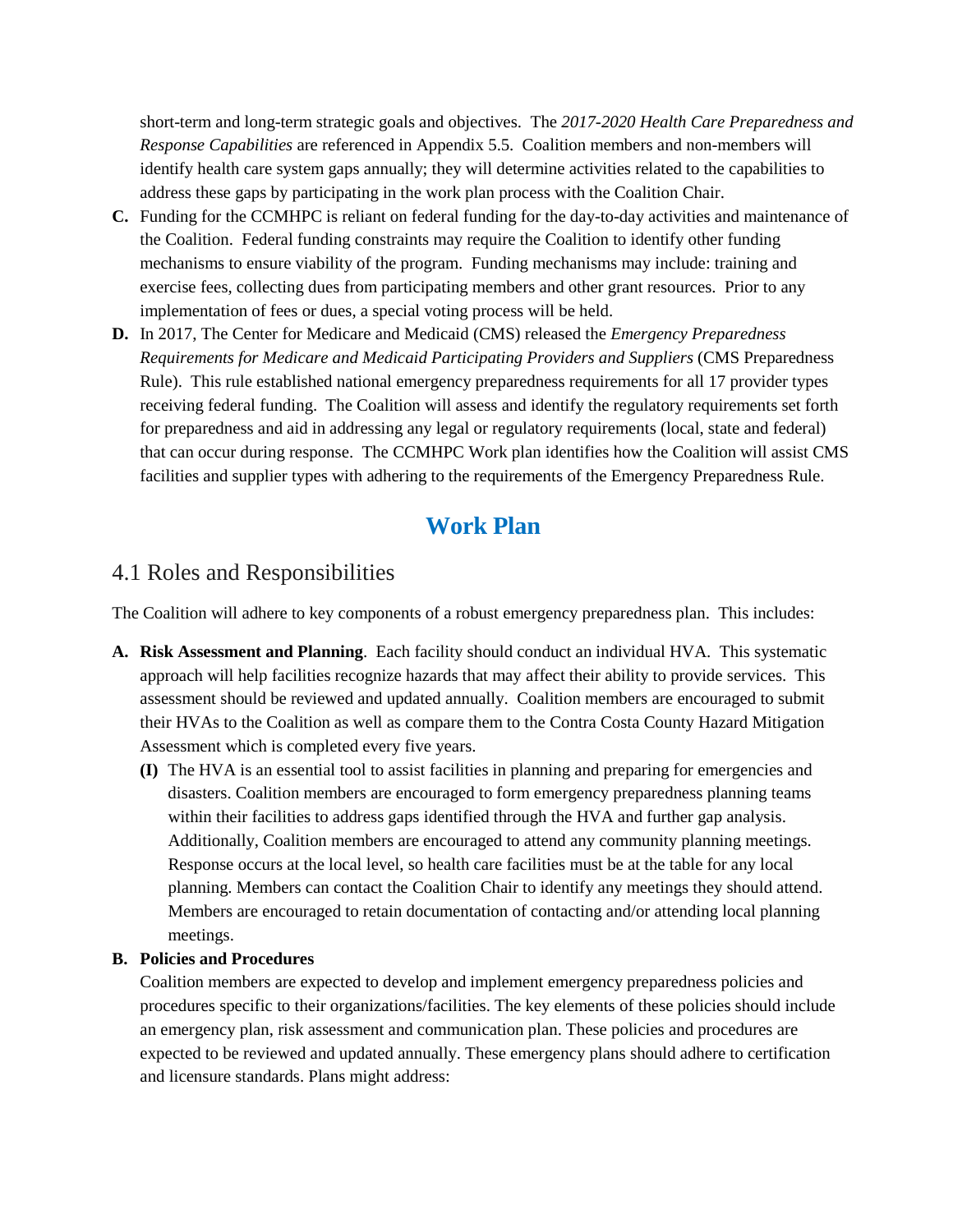short-term and long-term strategic goals and objectives. The *2017-2020 Health Care Preparedness and Response Capabilities* are referenced in Appendix 5.5. Coalition members and non-members will identify health care system gaps annually; they will determine activities related to the capabilities to address these gaps by participating in the work plan process with the Coalition Chair.

- **C.** Funding for the CCMHPC is reliant on federal funding for the day-to-day activities and maintenance of the Coalition. Federal funding constraints may require the Coalition to identify other funding mechanisms to ensure viability of the program. Funding mechanisms may include: training and exercise fees, collecting dues from participating members and other grant resources. Prior to any implementation of fees or dues, a special voting process will be held.
- **D.** In 2017, The Center for Medicare and Medicaid (CMS) released the *Emergency Preparedness Requirements for Medicare and Medicaid Participating Providers and Suppliers* (CMS Preparedness Rule). This rule established national emergency preparedness requirements for all 17 provider types receiving federal funding. The Coalition will assess and identify the regulatory requirements set forth for preparedness and aid in addressing any legal or regulatory requirements (local, state and federal) that can occur during response. The CCMHPC Work plan identifies how the Coalition will assist CMS facilities and supplier types with adhering to the requirements of the Emergency Preparedness Rule.

# **Work Plan**

### 4.1 Roles and Responsibilities

The Coalition will adhere to key components of a robust emergency preparedness plan. This includes:

- **A. Risk Assessment and Planning**. Each facility should conduct an individual HVA. This systematic approach will help facilities recognize hazards that may affect their ability to provide services. This assessment should be reviewed and updated annually. Coalition members are encouraged to submit their HVAs to the Coalition as well as compare them to the Contra Costa County Hazard Mitigation Assessment which is completed every five years.
	- **(I)** The HVA is an essential tool to assist facilities in planning and preparing for emergencies and disasters. Coalition members are encouraged to form emergency preparedness planning teams within their facilities to address gaps identified through the HVA and further gap analysis. Additionally, Coalition members are encouraged to attend any community planning meetings. Response occurs at the local level, so health care facilities must be at the table for any local planning. Members can contact the Coalition Chair to identify any meetings they should attend. Members are encouraged to retain documentation of contacting and/or attending local planning meetings.

#### **B. Policies and Procedures**

Coalition members are expected to develop and implement emergency preparedness policies and procedures specific to their organizations/facilities. The key elements of these policies should include an emergency plan, risk assessment and communication plan. These policies and procedures are expected to be reviewed and updated annually. These emergency plans should adhere to certification and licensure standards. Plans might address: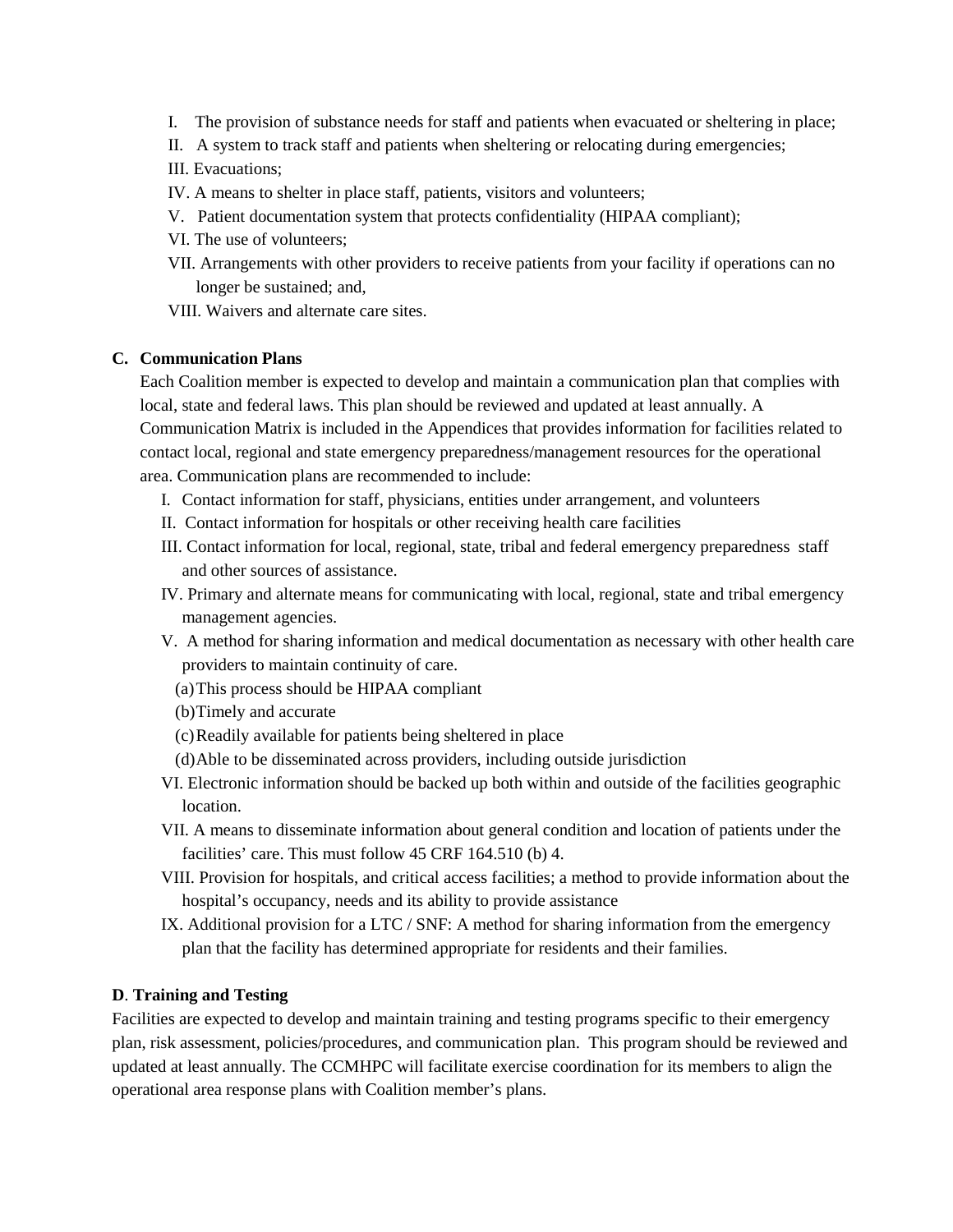- I. The provision of substance needs for staff and patients when evacuated or sheltering in place;
- II. A system to track staff and patients when sheltering or relocating during emergencies;
- III. Evacuations;
- IV. A means to shelter in place staff, patients, visitors and volunteers;
- V. Patient documentation system that protects confidentiality (HIPAA compliant);
- VI. The use of volunteers;
- VII. Arrangements with other providers to receive patients from your facility if operations can no longer be sustained; and,

VIII. Waivers and alternate care sites.

#### **C. Communication Plans**

Each Coalition member is expected to develop and maintain a communication plan that complies with local, state and federal laws. This plan should be reviewed and updated at least annually. A Communication Matrix is included in the Appendices that provides information for facilities related to contact local, regional and state emergency preparedness/management resources for the operational area. Communication plans are recommended to include:

- I. Contact information for staff, physicians, entities under arrangement, and volunteers
- II. Contact information for hospitals or other receiving health care facilities
- III. Contact information for local, regional, state, tribal and federal emergency preparedness staff and other sources of assistance.
- IV. Primary and alternate means for communicating with local, regional, state and tribal emergency management agencies.
- V. A method for sharing information and medical documentation as necessary with other health care providers to maintain continuity of care.
	- (a)This process should be HIPAA compliant
	- (b)Timely and accurate
	- (c)Readily available for patients being sheltered in place
	- (d)Able to be disseminated across providers, including outside jurisdiction
- VI. Electronic information should be backed up both within and outside of the facilities geographic location.
- VII. A means to disseminate information about general condition and location of patients under the facilities' care. This must follow 45 CRF 164.510 (b) 4.
- VIII. Provision for hospitals, and critical access facilities; a method to provide information about the hospital's occupancy, needs and its ability to provide assistance
- IX. Additional provision for a LTC / SNF: A method for sharing information from the emergency plan that the facility has determined appropriate for residents and their families.

#### **D**. **Training and Testing**

Facilities are expected to develop and maintain training and testing programs specific to their emergency plan, risk assessment, policies/procedures, and communication plan. This program should be reviewed and updated at least annually. The CCMHPC will facilitate exercise coordination for its members to align the operational area response plans with Coalition member's plans.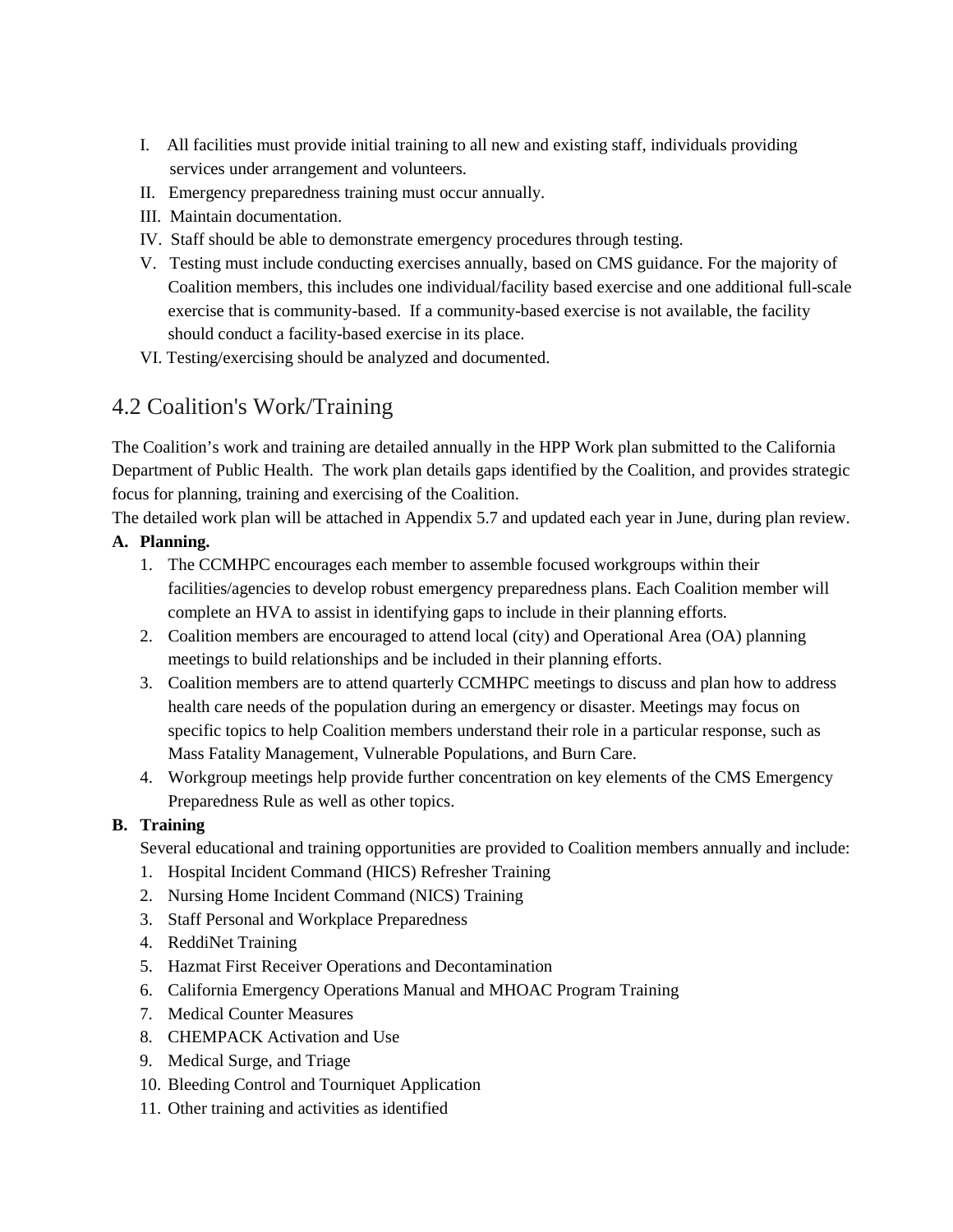- I. All facilities must provide initial training to all new and existing staff, individuals providing services under arrangement and volunteers.
- II. Emergency preparedness training must occur annually.
- III. Maintain documentation.
- IV. Staff should be able to demonstrate emergency procedures through testing.
- V. Testing must include conducting exercises annually, based on CMS guidance. For the majority of Coalition members, this includes one individual/facility based exercise and one additional full-scale exercise that is community-based. If a community-based exercise is not available, the facility should conduct a facility-based exercise in its place.
- VI. Testing/exercising should be analyzed and documented.

# 4.2 Coalition's Work/Training

The Coalition's work and training are detailed annually in the HPP Work plan submitted to the California Department of Public Health. The work plan details gaps identified by the Coalition, and provides strategic focus for planning, training and exercising of the Coalition.

The detailed work plan will be attached in Appendix 5.7 and updated each year in June, during plan review.

#### **A. Planning.**

- 1. The CCMHPC encourages each member to assemble focused workgroups within their facilities/agencies to develop robust emergency preparedness plans. Each Coalition member will complete an HVA to assist in identifying gaps to include in their planning efforts.
- 2. Coalition members are encouraged to attend local (city) and Operational Area (OA) planning meetings to build relationships and be included in their planning efforts.
- 3. Coalition members are to attend quarterly CCMHPC meetings to discuss and plan how to address health care needs of the population during an emergency or disaster. Meetings may focus on specific topics to help Coalition members understand their role in a particular response, such as Mass Fatality Management, Vulnerable Populations, and Burn Care.
- 4. Workgroup meetings help provide further concentration on key elements of the CMS Emergency Preparedness Rule as well as other topics.

#### **B. Training**

Several educational and training opportunities are provided to Coalition members annually and include:

- 1. Hospital Incident Command (HICS) Refresher Training
- 2. Nursing Home Incident Command (NICS) Training
- 3. Staff Personal and Workplace Preparedness
- 4. ReddiNet Training
- 5. Hazmat First Receiver Operations and Decontamination
- 6. California Emergency Operations Manual and MHOAC Program Training
- 7. Medical Counter Measures
- 8. CHEMPACK Activation and Use
- 9. Medical Surge, and Triage
- 10. Bleeding Control and Tourniquet Application
- 11. Other training and activities as identified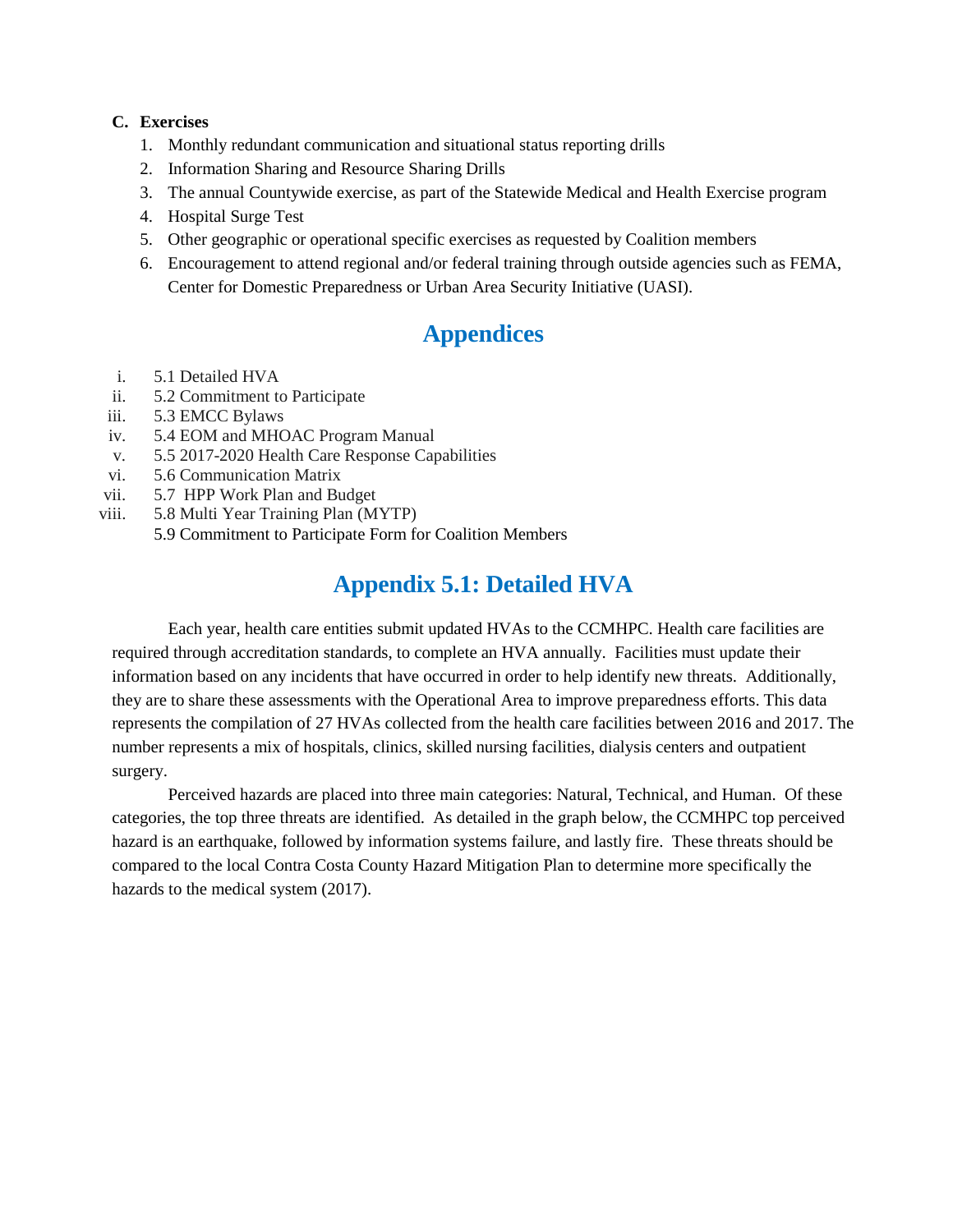#### **C. Exercises**

- 1. Monthly redundant communication and situational status reporting drills
- 2. Information Sharing and Resource Sharing Drills
- 3. The annual Countywide exercise, as part of the Statewide Medical and Health Exercise program
- 4. Hospital Surge Test
- 5. Other geographic or operational specific exercises as requested by Coalition members
- 6. Encouragement to attend regional and/or federal training through outside agencies such as FEMA, Center for Domestic Preparedness or Urban Area Security Initiative (UASI).

# **Appendices**

- i. 5.1 Detailed HVA
- ii. 5.2 Commitment to Participate
- iii. 5.3 EMCC Bylaws
- iv. 5.4 EOM and MHOAC Program Manual
- v. 5.5 2017-2020 Health Care Response Capabilities
- vi. 5.6 Communication Matrix
- vii. 5.7 HPP Work Plan and Budget
- viii. 5.8 Multi Year Training Plan (MYTP)
	- 5.9 Commitment to Participate Form for Coalition Members

# **Appendix 5.1: Detailed HVA**

Each year, health care entities submit updated HVAs to the CCMHPC. Health care facilities are required through accreditation standards, to complete an HVA annually. Facilities must update their information based on any incidents that have occurred in order to help identify new threats. Additionally, they are to share these assessments with the Operational Area to improve preparedness efforts. This data represents the compilation of 27 HVAs collected from the health care facilities between 2016 and 2017. The number represents a mix of hospitals, clinics, skilled nursing facilities, dialysis centers and outpatient surgery.

Perceived hazards are placed into three main categories: Natural, Technical, and Human. Of these categories, the top three threats are identified. As detailed in the graph below, the CCMHPC top perceived hazard is an earthquake, followed by information systems failure, and lastly fire. These threats should be compared to the local Contra Costa County Hazard Mitigation Plan to determine more specifically the hazards to the medical system (2017).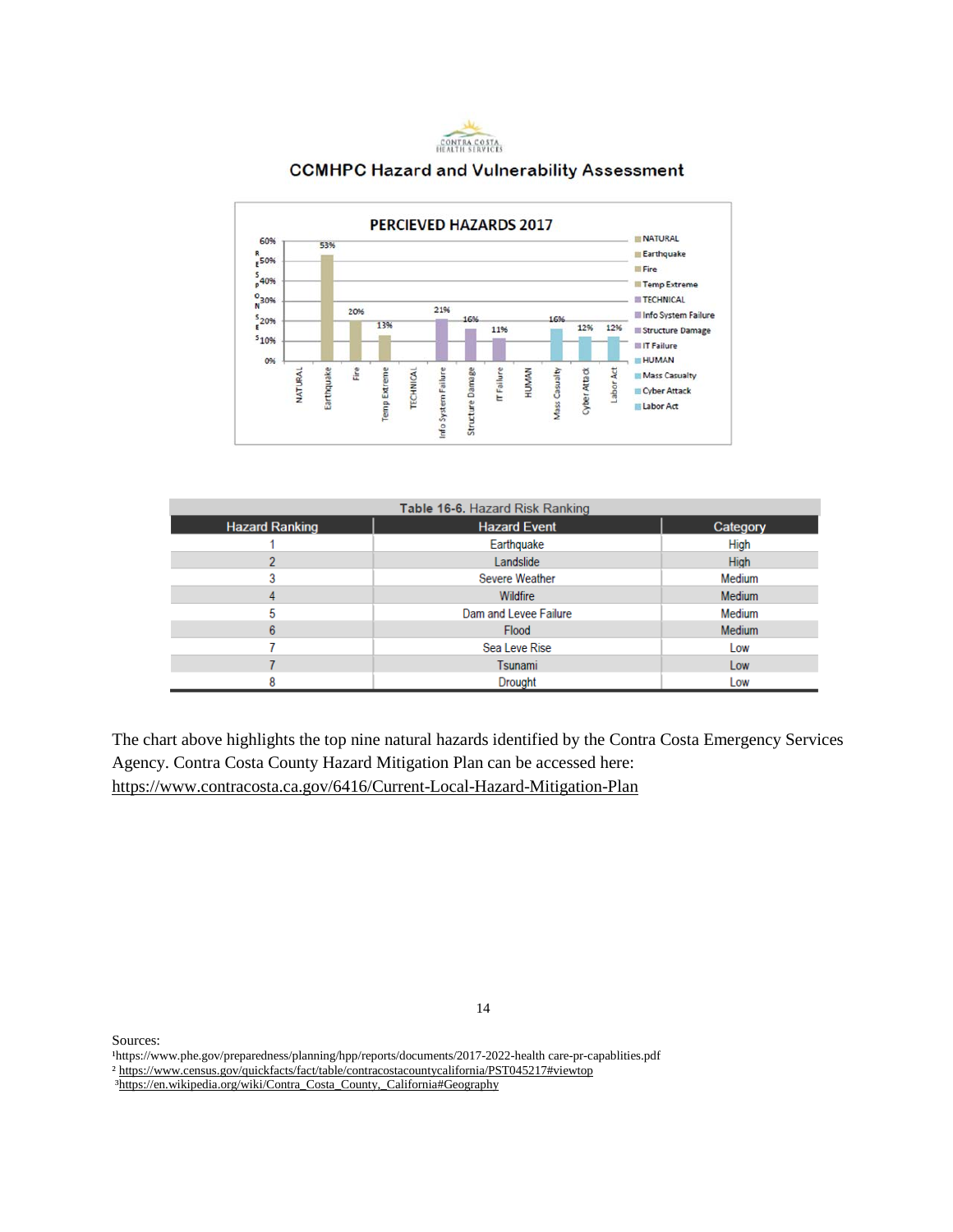

#### **CCMHPC Hazard and Vulnerability Assessment**



| Table 16-6. Hazard Risk Ranking |                       |               |  |  |
|---------------------------------|-----------------------|---------------|--|--|
| <b>Hazard Ranking</b>           | <b>Hazard Event</b>   | Category      |  |  |
|                                 | Earthquake            | High          |  |  |
|                                 | Landslide             | <b>High</b>   |  |  |
|                                 | Severe Weather        | Medium        |  |  |
|                                 | Wildfire              | <b>Medium</b> |  |  |
|                                 | Dam and Levee Failure | Medium        |  |  |
| 6                               | Flood                 | <b>Medium</b> |  |  |
|                                 | Sea Leve Rise         | Low           |  |  |
|                                 | Tsunami               | Low           |  |  |
|                                 | Drought               | Low           |  |  |

The chart above highlights the top nine natural hazards identified by the Contra Costa Emergency Services Agency. Contra Costa County Hazard Mitigation Plan can be accessed here: <https://www.contracosta.ca.gov/6416/Current-Local-Hazard-Mitigation-Plan>

Sources:

¹https://www.phe.gov/preparedness/planning/hpp/reports/documents/2017-2022-health care-pr-capablities.pdf ² <https://www.census.gov/quickfacts/fact/table/contracostacountycalifornia/PST045217#viewtop>

[³https://en.wikipedia.org/wiki/Contra\\_Costa\\_County,\\_California#Geography](https://en.wikipedia.org/wiki/Contra_Costa_County,_California#Geography)

14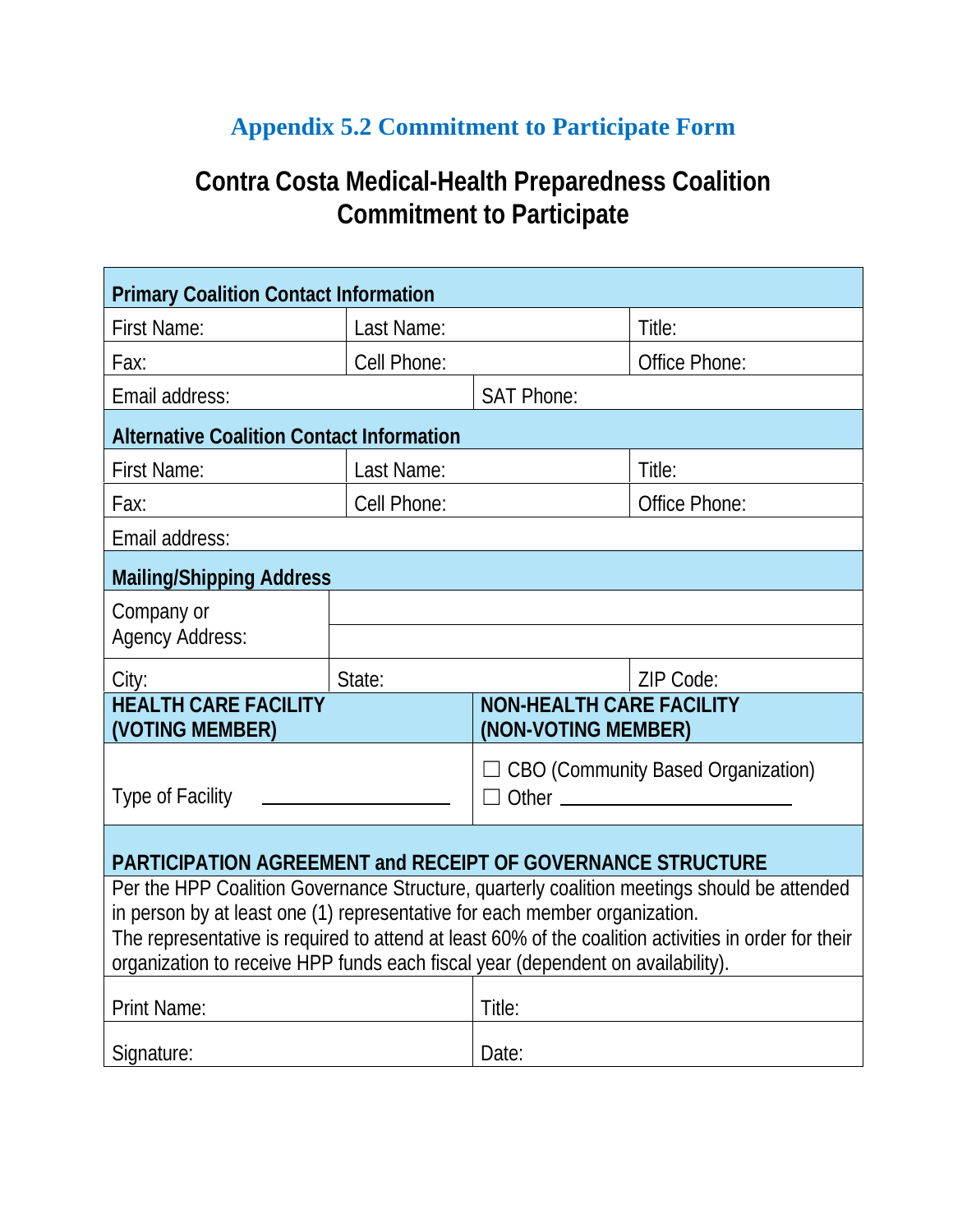# **Appendix 5.2 Commitment to Participate Form**

# **Contra Costa Medical-Health Preparedness Coalition Commitment to Participate**

| <b>Primary Coalition Contact Information</b>                                                                                                                                                                                                                                                                                                                         |                      |                                                             |               |  |  |
|----------------------------------------------------------------------------------------------------------------------------------------------------------------------------------------------------------------------------------------------------------------------------------------------------------------------------------------------------------------------|----------------------|-------------------------------------------------------------|---------------|--|--|
| <b>First Name:</b>                                                                                                                                                                                                                                                                                                                                                   | Last Name:           |                                                             | Title:        |  |  |
| Fax:                                                                                                                                                                                                                                                                                                                                                                 | Cell Phone:          |                                                             | Office Phone: |  |  |
| Email address:                                                                                                                                                                                                                                                                                                                                                       |                      | <b>SAT Phone:</b>                                           |               |  |  |
| <b>Alternative Coalition Contact Information</b>                                                                                                                                                                                                                                                                                                                     |                      |                                                             |               |  |  |
| <b>First Name:</b>                                                                                                                                                                                                                                                                                                                                                   | Title:<br>Last Name: |                                                             |               |  |  |
| Fax:                                                                                                                                                                                                                                                                                                                                                                 | Cell Phone:          |                                                             | Office Phone: |  |  |
| Email address:                                                                                                                                                                                                                                                                                                                                                       |                      |                                                             |               |  |  |
| <b>Mailing/Shipping Address</b>                                                                                                                                                                                                                                                                                                                                      |                      |                                                             |               |  |  |
| Company or<br><b>Agency Address:</b>                                                                                                                                                                                                                                                                                                                                 |                      |                                                             |               |  |  |
|                                                                                                                                                                                                                                                                                                                                                                      | State:               |                                                             | ZIP Code:     |  |  |
| City:<br><b>HEALTH CARE FACILITY</b><br>(VOTING MEMBER)                                                                                                                                                                                                                                                                                                              |                      | <b>NON-HEALTH CARE FACILITY</b><br>(NON-VOTING MEMBER)      |               |  |  |
| <b>Type of Facility</b>                                                                                                                                                                                                                                                                                                                                              |                      | $\Box$ CBO (Community Based Organization)<br>Other $\qquad$ |               |  |  |
| <b>PARTICIPATION AGREEMENT and RECEIPT OF GOVERNANCE STRUCTURE</b>                                                                                                                                                                                                                                                                                                   |                      |                                                             |               |  |  |
| Per the HPP Coalition Governance Structure, quarterly coalition meetings should be attended<br>in person by at least one (1) representative for each member organization.<br>The representative is required to attend at least 60% of the coalition activities in order for their<br>organization to receive HPP funds each fiscal year (dependent on availability). |                      |                                                             |               |  |  |
| <b>Print Name:</b>                                                                                                                                                                                                                                                                                                                                                   |                      | Title:                                                      |               |  |  |
| Signature:                                                                                                                                                                                                                                                                                                                                                           |                      | Date:                                                       |               |  |  |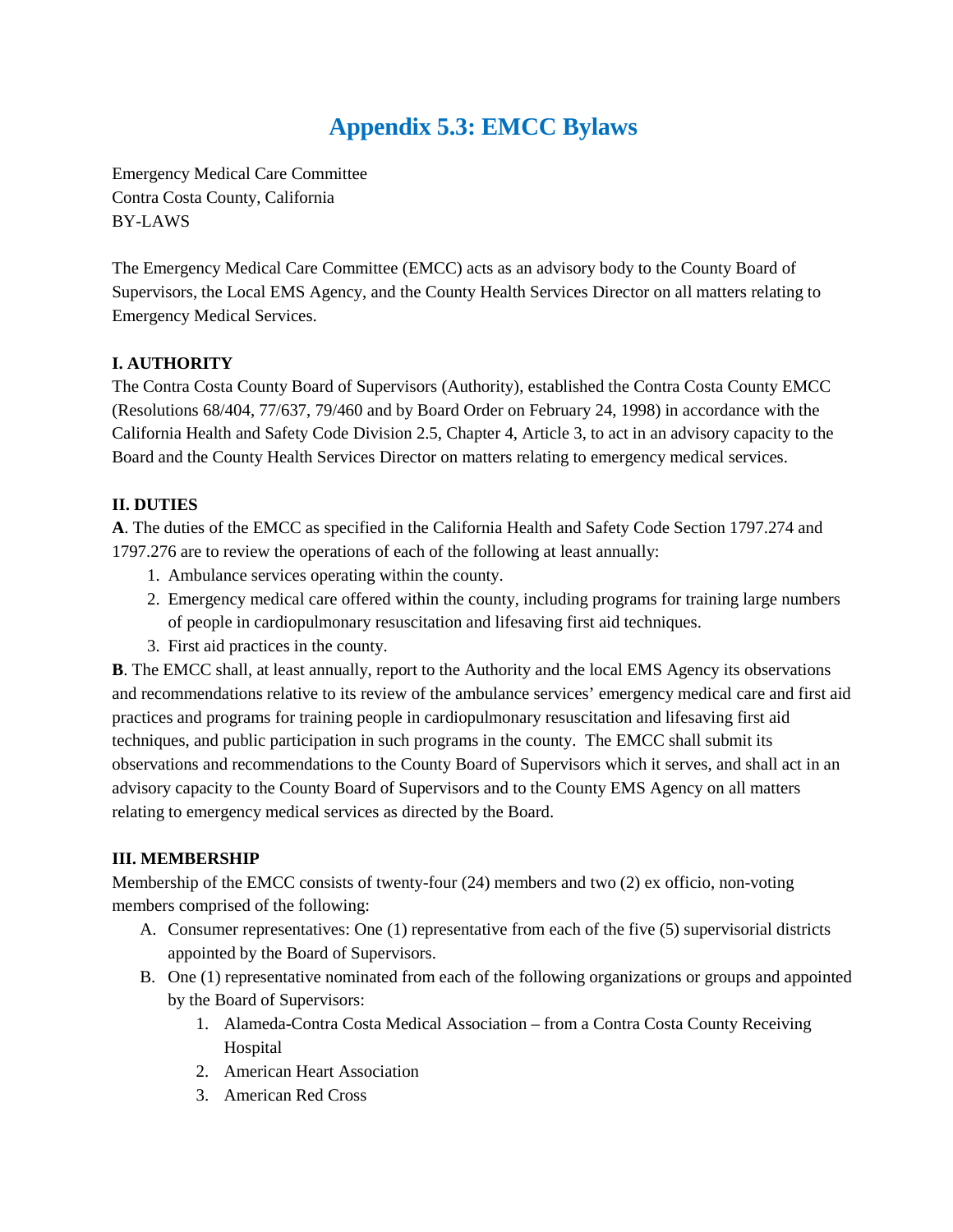# **Appendix 5.3: EMCC Bylaws**

Emergency Medical Care Committee Contra Costa County, California BY-LAWS

The Emergency Medical Care Committee (EMCC) acts as an advisory body to the County Board of Supervisors, the Local EMS Agency, and the County Health Services Director on all matters relating to Emergency Medical Services.

#### **I. AUTHORITY**

The Contra Costa County Board of Supervisors (Authority), established the Contra Costa County EMCC (Resolutions 68/404, 77/637, 79/460 and by Board Order on February 24, 1998) in accordance with the California Health and Safety Code Division 2.5, Chapter 4, Article 3, to act in an advisory capacity to the Board and the County Health Services Director on matters relating to emergency medical services.

#### **II. DUTIES**

**A**. The duties of the EMCC as specified in the California Health and Safety Code Section 1797.274 and 1797.276 are to review the operations of each of the following at least annually:

- 1. Ambulance services operating within the county.
- 2. Emergency medical care offered within the county, including programs for training large numbers of people in cardiopulmonary resuscitation and lifesaving first aid techniques.
- 3. First aid practices in the county.

**B**. The EMCC shall, at least annually, report to the Authority and the local EMS Agency its observations and recommendations relative to its review of the ambulance services' emergency medical care and first aid practices and programs for training people in cardiopulmonary resuscitation and lifesaving first aid techniques, and public participation in such programs in the county. The EMCC shall submit its observations and recommendations to the County Board of Supervisors which it serves, and shall act in an advisory capacity to the County Board of Supervisors and to the County EMS Agency on all matters relating to emergency medical services as directed by the Board.

#### **III. MEMBERSHIP**

Membership of the EMCC consists of twenty-four (24) members and two (2) ex officio, non-voting members comprised of the following:

- A. Consumer representatives: One (1) representative from each of the five (5) supervisorial districts appointed by the Board of Supervisors.
- B. One (1) representative nominated from each of the following organizations or groups and appointed by the Board of Supervisors:
	- 1. Alameda-Contra Costa Medical Association from a Contra Costa County Receiving Hospital
	- 2. American Heart Association
	- 3. American Red Cross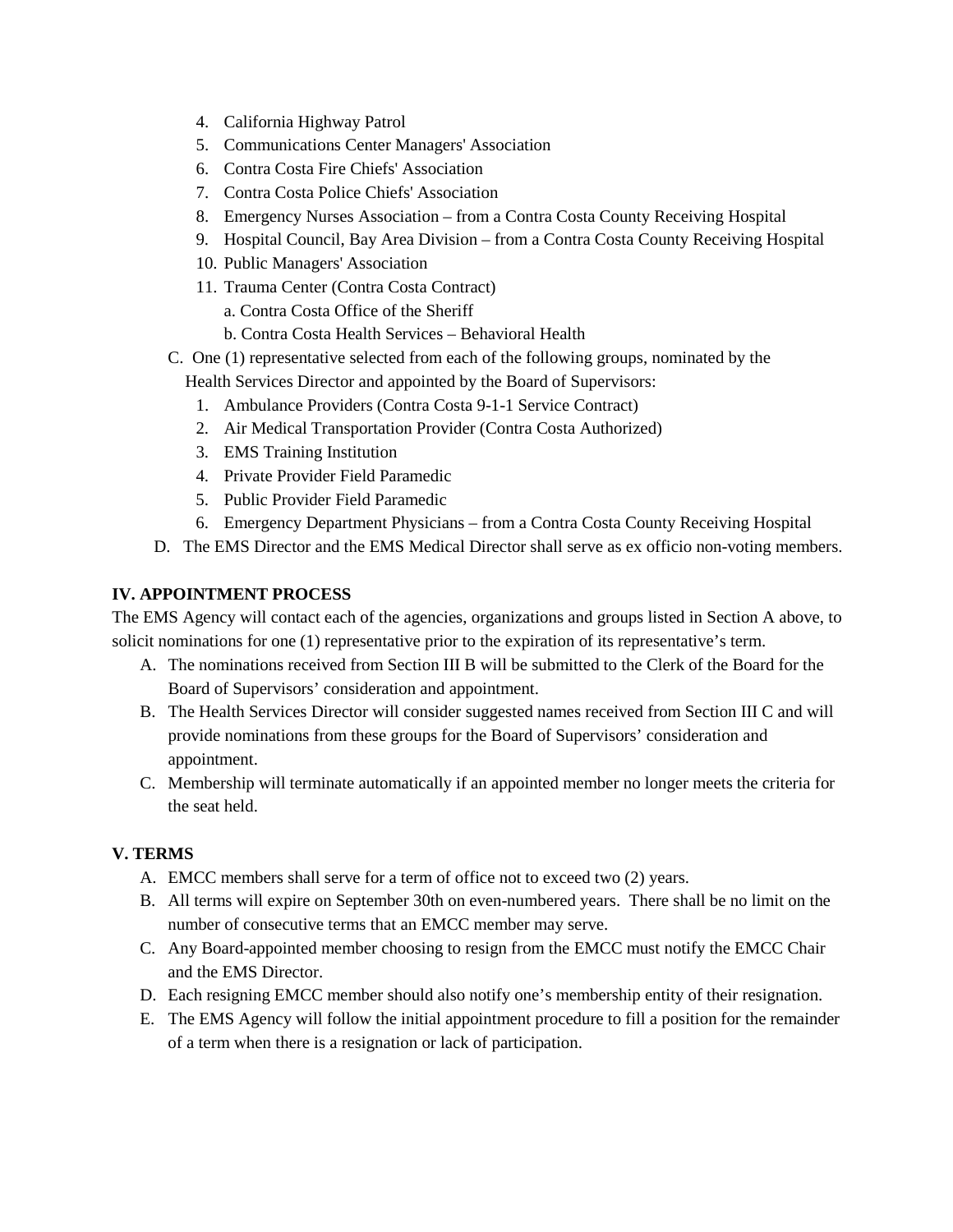- 4. California Highway Patrol
- 5. Communications Center Managers' Association
- 6. Contra Costa Fire Chiefs' Association
- 7. Contra Costa Police Chiefs' Association
- 8. Emergency Nurses Association from a Contra Costa County Receiving Hospital
- 9. Hospital Council, Bay Area Division from a Contra Costa County Receiving Hospital
- 10. Public Managers' Association
- 11. Trauma Center (Contra Costa Contract)
	- a. Contra Costa Office of the Sheriff
	- b. Contra Costa Health Services Behavioral Health
- C. One (1) representative selected from each of the following groups, nominated by the

Health Services Director and appointed by the Board of Supervisors:

- 1. Ambulance Providers (Contra Costa 9-1-1 Service Contract)
- 2. Air Medical Transportation Provider (Contra Costa Authorized)
- 3. EMS Training Institution
- 4. Private Provider Field Paramedic
- 5. Public Provider Field Paramedic
- 6. Emergency Department Physicians from a Contra Costa County Receiving Hospital
- D. The EMS Director and the EMS Medical Director shall serve as ex officio non-voting members.

#### **IV. APPOINTMENT PROCESS**

The EMS Agency will contact each of the agencies, organizations and groups listed in Section A above, to solicit nominations for one (1) representative prior to the expiration of its representative's term.

- A. The nominations received from Section III B will be submitted to the Clerk of the Board for the Board of Supervisors' consideration and appointment.
- B. The Health Services Director will consider suggested names received from Section III C and will provide nominations from these groups for the Board of Supervisors' consideration and appointment.
- C. Membership will terminate automatically if an appointed member no longer meets the criteria for the seat held.

#### **V. TERMS**

- A. EMCC members shall serve for a term of office not to exceed two (2) years.
- B. All terms will expire on September 30th on even-numbered years. There shall be no limit on the number of consecutive terms that an EMCC member may serve.
- C. Any Board-appointed member choosing to resign from the EMCC must notify the EMCC Chair and the EMS Director.
- D. Each resigning EMCC member should also notify one's membership entity of their resignation.
- E. The EMS Agency will follow the initial appointment procedure to fill a position for the remainder of a term when there is a resignation or lack of participation.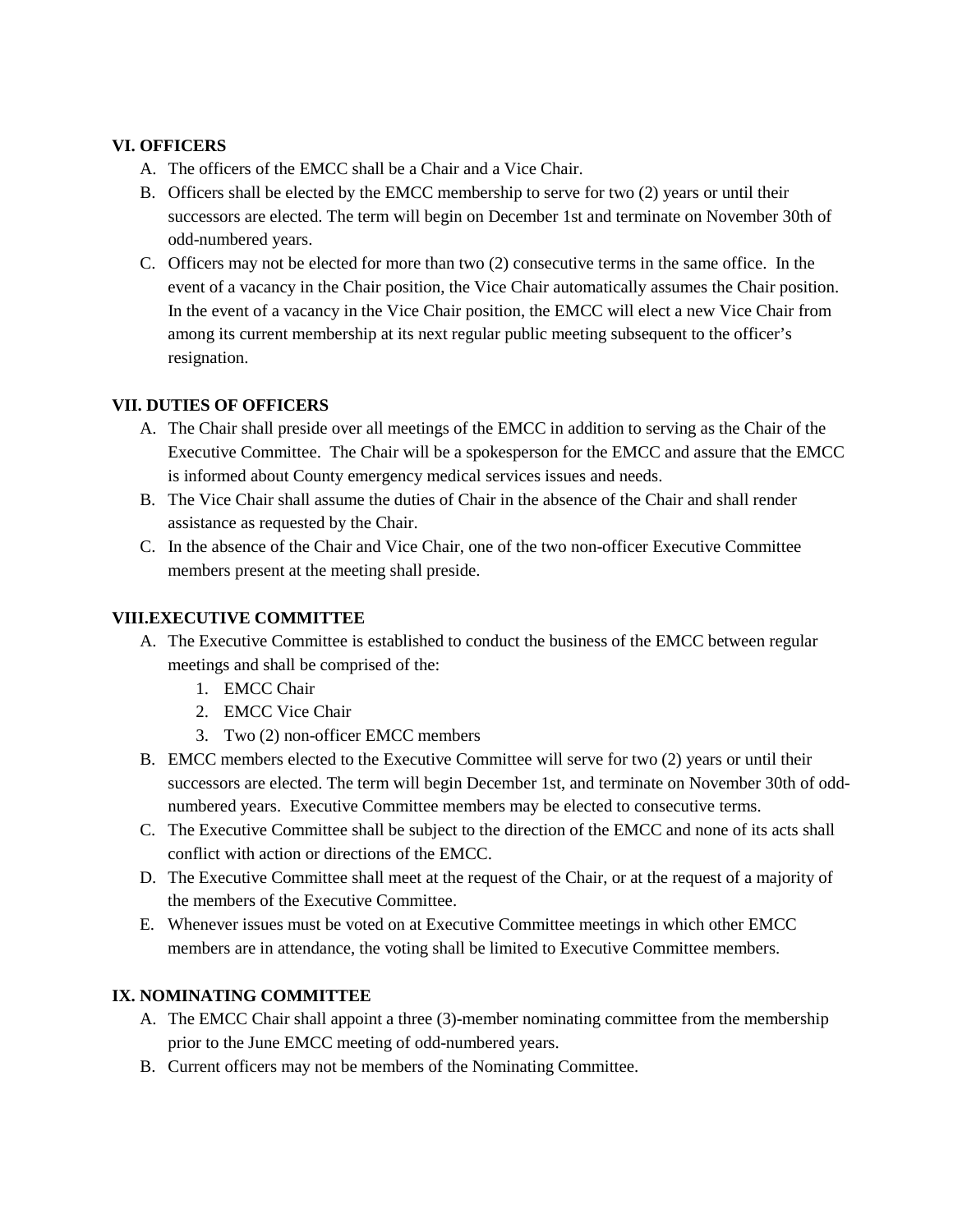#### **VI. OFFICERS**

- A. The officers of the EMCC shall be a Chair and a Vice Chair.
- B. Officers shall be elected by the EMCC membership to serve for two (2) years or until their successors are elected. The term will begin on December 1st and terminate on November 30th of odd-numbered years.
- C. Officers may not be elected for more than two (2) consecutive terms in the same office. In the event of a vacancy in the Chair position, the Vice Chair automatically assumes the Chair position. In the event of a vacancy in the Vice Chair position, the EMCC will elect a new Vice Chair from among its current membership at its next regular public meeting subsequent to the officer's resignation.

#### **VII. DUTIES OF OFFICERS**

- A. The Chair shall preside over all meetings of the EMCC in addition to serving as the Chair of the Executive Committee. The Chair will be a spokesperson for the EMCC and assure that the EMCC is informed about County emergency medical services issues and needs.
- B. The Vice Chair shall assume the duties of Chair in the absence of the Chair and shall render assistance as requested by the Chair.
- C. In the absence of the Chair and Vice Chair, one of the two non-officer Executive Committee members present at the meeting shall preside.

#### **VIII.EXECUTIVE COMMITTEE**

- A. The Executive Committee is established to conduct the business of the EMCC between regular meetings and shall be comprised of the:
	- 1. EMCC Chair
	- 2. EMCC Vice Chair
	- 3. Two (2) non-officer EMCC members
- B. EMCC members elected to the Executive Committee will serve for two (2) years or until their successors are elected. The term will begin December 1st, and terminate on November 30th of oddnumbered years. Executive Committee members may be elected to consecutive terms.
- C. The Executive Committee shall be subject to the direction of the EMCC and none of its acts shall conflict with action or directions of the EMCC.
- D. The Executive Committee shall meet at the request of the Chair, or at the request of a majority of the members of the Executive Committee.
- E. Whenever issues must be voted on at Executive Committee meetings in which other EMCC members are in attendance, the voting shall be limited to Executive Committee members.

#### **IX. NOMINATING COMMITTEE**

- A. The EMCC Chair shall appoint a three (3)-member nominating committee from the membership prior to the June EMCC meeting of odd-numbered years.
- B. Current officers may not be members of the Nominating Committee.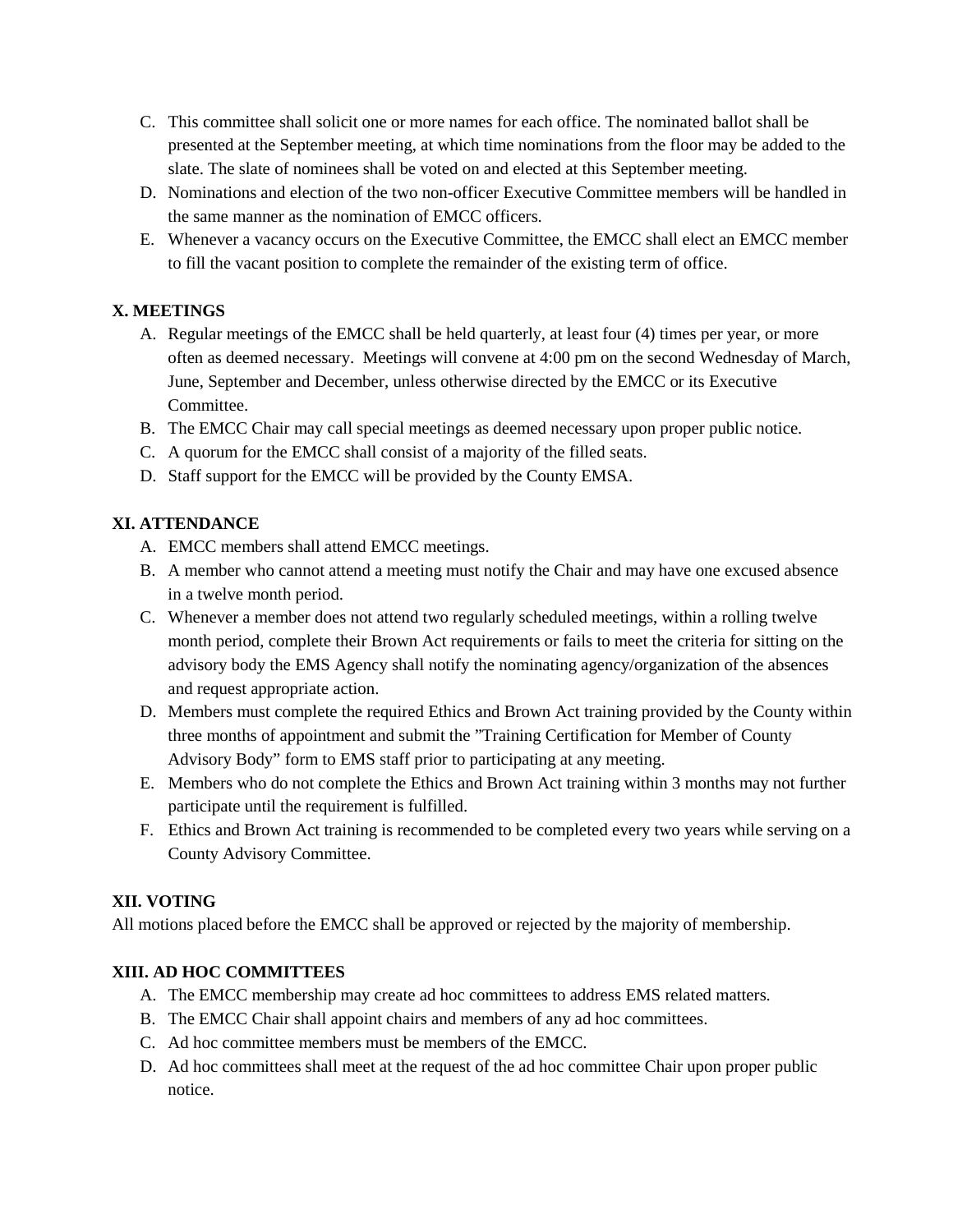- C. This committee shall solicit one or more names for each office. The nominated ballot shall be presented at the September meeting, at which time nominations from the floor may be added to the slate. The slate of nominees shall be voted on and elected at this September meeting.
- D. Nominations and election of the two non-officer Executive Committee members will be handled in the same manner as the nomination of EMCC officers.
- E. Whenever a vacancy occurs on the Executive Committee, the EMCC shall elect an EMCC member to fill the vacant position to complete the remainder of the existing term of office.

#### **X. MEETINGS**

- A. Regular meetings of the EMCC shall be held quarterly, at least four (4) times per year, or more often as deemed necessary. Meetings will convene at 4:00 pm on the second Wednesday of March, June, September and December, unless otherwise directed by the EMCC or its Executive Committee.
- B. The EMCC Chair may call special meetings as deemed necessary upon proper public notice.
- C. A quorum for the EMCC shall consist of a majority of the filled seats.
- D. Staff support for the EMCC will be provided by the County EMSA.

#### **XI. ATTENDANCE**

- A. EMCC members shall attend EMCC meetings.
- B. A member who cannot attend a meeting must notify the Chair and may have one excused absence in a twelve month period.
- C. Whenever a member does not attend two regularly scheduled meetings, within a rolling twelve month period, complete their Brown Act requirements or fails to meet the criteria for sitting on the advisory body the EMS Agency shall notify the nominating agency/organization of the absences and request appropriate action.
- D. Members must complete the required Ethics and Brown Act training provided by the County within three months of appointment and submit the "Training Certification for Member of County Advisory Body" form to EMS staff prior to participating at any meeting.
- E. Members who do not complete the Ethics and Brown Act training within 3 months may not further participate until the requirement is fulfilled.
- F. Ethics and Brown Act training is recommended to be completed every two years while serving on a County Advisory Committee.

#### **XII. VOTING**

All motions placed before the EMCC shall be approved or rejected by the majority of membership.

#### **XIII. AD HOC COMMITTEES**

- A. The EMCC membership may create ad hoc committees to address EMS related matters.
- B. The EMCC Chair shall appoint chairs and members of any ad hoc committees.
- C. Ad hoc committee members must be members of the EMCC.
- D. Ad hoc committees shall meet at the request of the ad hoc committee Chair upon proper public notice.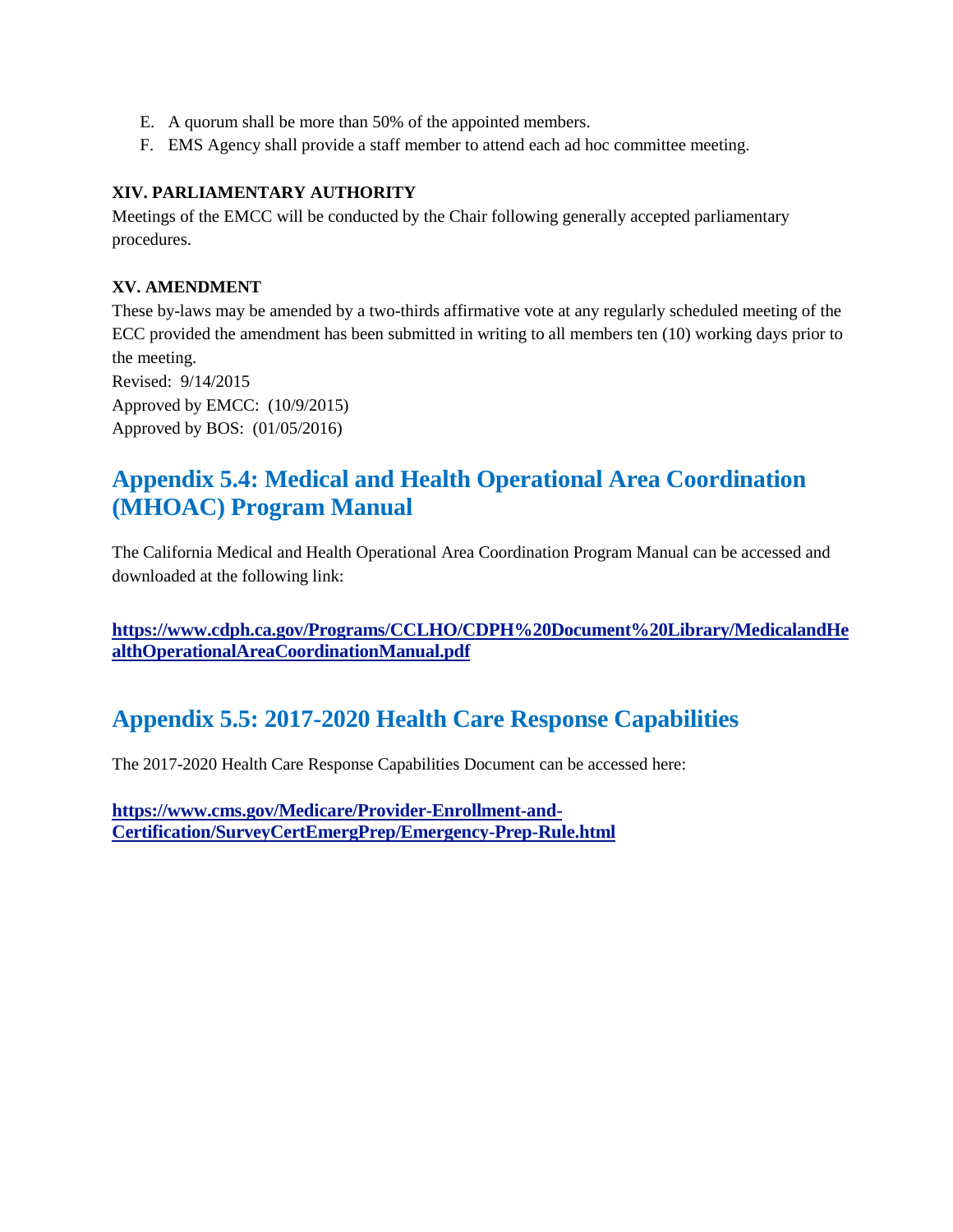- E. A quorum shall be more than 50% of the appointed members.
- F. EMS Agency shall provide a staff member to attend each ad hoc committee meeting.

#### **XIV. PARLIAMENTARY AUTHORITY**

Meetings of the EMCC will be conducted by the Chair following generally accepted parliamentary procedures.

#### **XV. AMENDMENT**

These by-laws may be amended by a two-thirds affirmative vote at any regularly scheduled meeting of the ECC provided the amendment has been submitted in writing to all members ten (10) working days prior to the meeting. Revised: 9/14/2015 Approved by EMCC: (10/9/2015)

Approved by BOS: (01/05/2016)

# **Appendix 5.4: Medical and Health Operational Area Coordination (MHOAC) Program Manual**

The California Medical and Health Operational Area Coordination Program Manual can be accessed and downloaded at the following link:

**[https://www.cdph.ca.gov/Programs/CCLHO/CDPH%20Document%20Library/MedicalandHe](https://www.cdph.ca.gov/Programs/CCLHO/CDPH%20Document%20Library/MedicalandHealthOperationalAreaCoordinationManual.pdf) [althOperationalAreaCoordinationManual.pdf](https://www.cdph.ca.gov/Programs/CCLHO/CDPH%20Document%20Library/MedicalandHealthOperationalAreaCoordinationManual.pdf)**

# **Appendix 5.5: 2017-2020 Health Care Response Capabilities**

The 2017-2020 Health Care Response Capabilities Document can be accessed here:

**[https://www.cms.gov/Medicare/Provider-Enrollment-and-](https://www.cms.gov/Medicare/Provider-Enrollment-and-Certification/SurveyCertEmergPrep/Emergency-Prep-Rule.html)[Certification/SurveyCertEmergPrep/Emergency-Prep-Rule.html](https://www.cms.gov/Medicare/Provider-Enrollment-and-Certification/SurveyCertEmergPrep/Emergency-Prep-Rule.html)**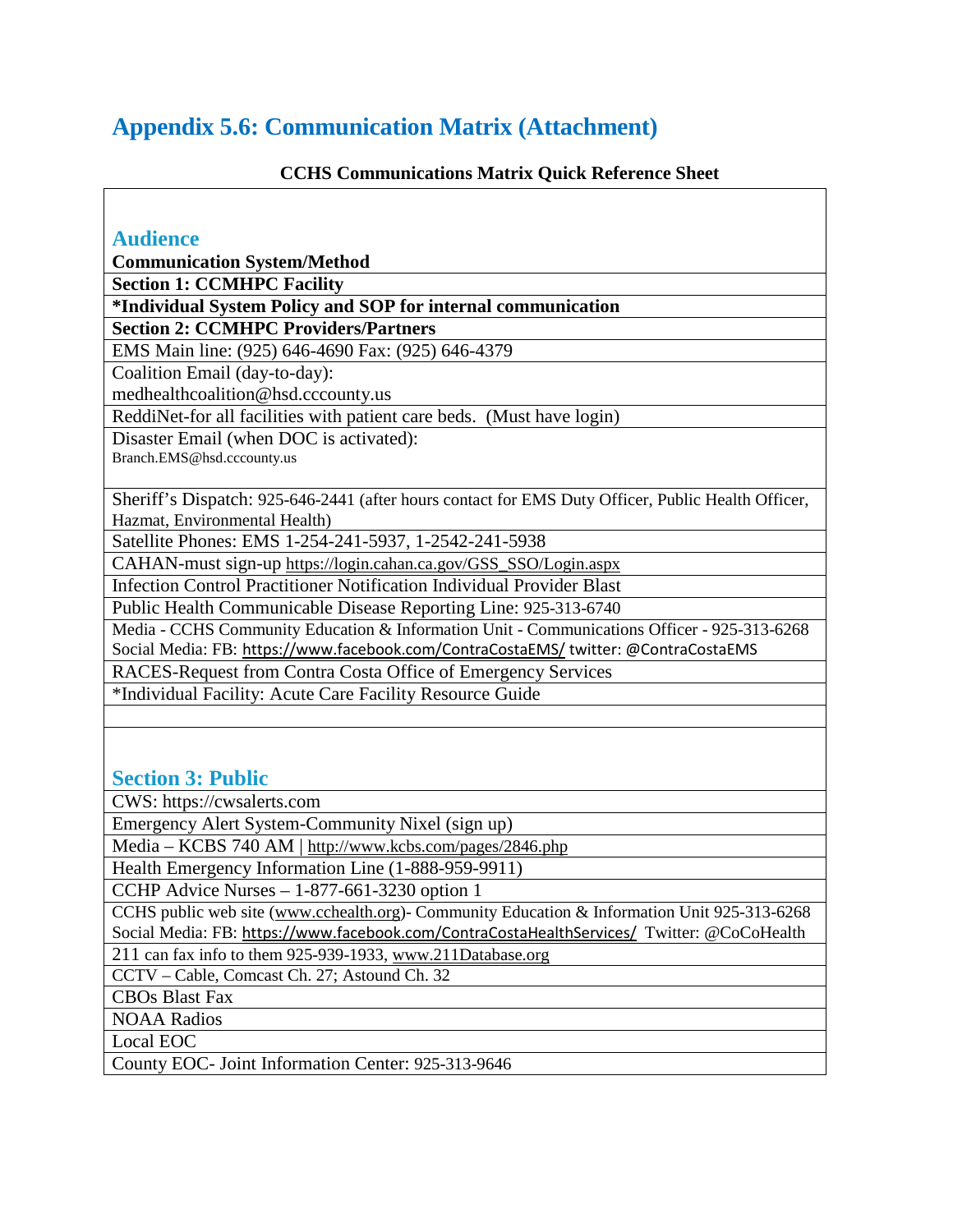# **Appendix 5.6: Communication Matrix (Attachment)**

# **CCHS Communications Matrix Quick Reference Sheet**

| <b>Audience</b>                                                                                    |  |  |  |  |
|----------------------------------------------------------------------------------------------------|--|--|--|--|
| <b>Communication System/Method</b>                                                                 |  |  |  |  |
| <b>Section 1: CCMHPC Facility</b>                                                                  |  |  |  |  |
| *Individual System Policy and SOP for internal communication                                       |  |  |  |  |
| <b>Section 2: CCMHPC Providers/Partners</b>                                                        |  |  |  |  |
| EMS Main line: (925) 646-4690 Fax: (925) 646-4379                                                  |  |  |  |  |
| Coalition Email (day-to-day):                                                                      |  |  |  |  |
| medhealthcoalition@hsd.cccounty.us                                                                 |  |  |  |  |
| ReddiNet-for all facilities with patient care beds. (Must have login)                              |  |  |  |  |
| Disaster Email (when DOC is activated):                                                            |  |  |  |  |
| Branch.EMS@hsd.cccounty.us                                                                         |  |  |  |  |
|                                                                                                    |  |  |  |  |
| Sheriff's Dispatch: 925-646-2441 (after hours contact for EMS Duty Officer, Public Health Officer, |  |  |  |  |
| Hazmat, Environmental Health)                                                                      |  |  |  |  |
| Satellite Phones: EMS 1-254-241-5937, 1-2542-241-5938                                              |  |  |  |  |
| CAHAN-must sign-up https://login.cahan.ca.gov/GSS_SSO/Login.aspx                                   |  |  |  |  |
| Infection Control Practitioner Notification Individual Provider Blast                              |  |  |  |  |
| Public Health Communicable Disease Reporting Line: 925-313-6740                                    |  |  |  |  |
| Media - CCHS Community Education & Information Unit - Communications Officer - 925-313-6268        |  |  |  |  |
| Social Media: FB: https://www.facebook.com/ContraCostaEMS/ twitter: @ContraCostaEMS                |  |  |  |  |
| RACES-Request from Contra Costa Office of Emergency Services                                       |  |  |  |  |
| *Individual Facility: Acute Care Facility Resource Guide                                           |  |  |  |  |
|                                                                                                    |  |  |  |  |
|                                                                                                    |  |  |  |  |
|                                                                                                    |  |  |  |  |
| <b>Section 3: Public</b>                                                                           |  |  |  |  |
| CWS: https://cwsalerts.com                                                                         |  |  |  |  |
| Emergency Alert System-Community Nixel (sign up)                                                   |  |  |  |  |
| Media – KCBS 740 AM   http://www.kcbs.com/pages/2846.php                                           |  |  |  |  |
| Health Emergency Information Line (1-888-959-9911)                                                 |  |  |  |  |
| CCHP Advice Nurses $-1-877-661-3230$ option 1                                                      |  |  |  |  |
| CCHS public web site (www.cchealth.org)- Community Education & Information Unit 925-313-6268       |  |  |  |  |
| Social Media: FB: https://www.facebook.com/ContraCostaHealthServices/ Twitter: @CoCoHealth         |  |  |  |  |
| 211 can fax info to them 925-939-1933, www.211Database.org                                         |  |  |  |  |
| CCTV – Cable, Comcast Ch. 27; Astound Ch. 32                                                       |  |  |  |  |
| <b>CBOs Blast Fax</b>                                                                              |  |  |  |  |
| <b>NOAA Radios</b>                                                                                 |  |  |  |  |
| Local EOC                                                                                          |  |  |  |  |
| County EOC- Joint Information Center: 925-313-9646                                                 |  |  |  |  |
|                                                                                                    |  |  |  |  |